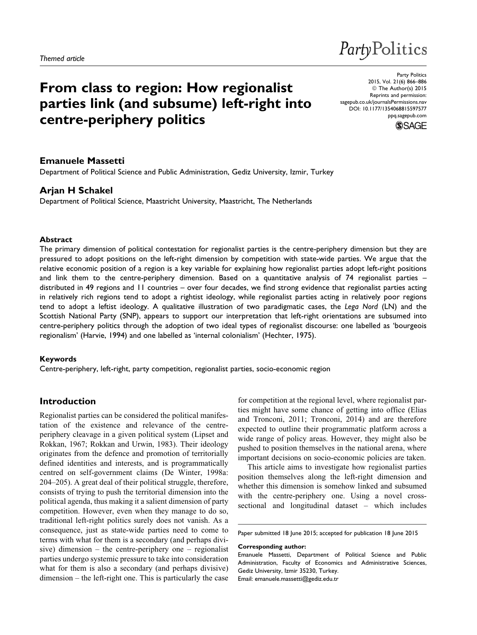# PartyPolitics

## From class to region: How regionalist parties link (and subsume) left-right into centre-periphery politics

Party Politics 2015, Vol. 21(6) 866–886 © The Author(s) 2015 Reprints and permission: [sagepub.co.uk/journalsPermissions.nav](http://www.sagepub.co.uk/journalsPermissions.nav) DOI: 10.1177/1354068815597577 [ppq.sagepub.com](http://ppq.sagepub.com)**SSAGE** 

#### Emanuele Massetti

Department of Political Science and Public Administration, Gediz University, Izmir, Turkey

#### Arjan H Schakel

Department of Political Science, Maastricht University, Maastricht, The Netherlands

#### Abstract

The primary dimension of political contestation for regionalist parties is the centre-periphery dimension but they are pressured to adopt positions on the left-right dimension by competition with state-wide parties. We argue that the relative economic position of a region is a key variable for explaining how regionalist parties adopt left-right positions and link them to the centre-periphery dimension. Based on a quantitative analysis of 74 regionalist parties – distributed in 49 regions and 11 countries – over four decades, we find strong evidence that regionalist parties acting in relatively rich regions tend to adopt a rightist ideology, while regionalist parties acting in relatively poor regions tend to adopt a leftist ideology. A qualitative illustration of two paradigmatic cases, the Lega Nord (LN) and the Scottish National Party (SNP), appears to support our interpretation that left-right orientations are subsumed into centre-periphery politics through the adoption of two ideal types of regionalist discourse: one labelled as 'bourgeois regionalism' (Harvie, 1994) and one labelled as 'internal colonialism' (Hechter, 1975).

#### Keywords

Centre-periphery, left-right, party competition, regionalist parties, socio-economic region

#### Introduction

Regionalist parties can be considered the political manifestation of the existence and relevance of the centreperiphery cleavage in a given political system (Lipset and Rokkan, 1967; Rokkan and Urwin, 1983). Their ideology originates from the defence and promotion of territorially defined identities and interests, and is programmatically centred on self-government claims (De Winter, 1998a: 204–205). A great deal of their political struggle, therefore, consists of trying to push the territorial dimension into the political agenda, thus making it a salient dimension of party competition. However, even when they manage to do so, traditional left-right politics surely does not vanish. As a consequence, just as state-wide parties need to come to terms with what for them is a secondary (and perhaps divisive) dimension – the centre-periphery one – regionalist parties undergo systemic pressure to take into consideration what for them is also a secondary (and perhaps divisive) dimension – the left-right one. This is particularly the case

for competition at the regional level, where regionalist parties might have some chance of getting into office (Elias and Tronconi, 2011; Tronconi, 2014) and are therefore expected to outline their programmatic platform across a wide range of policy areas. However, they might also be pushed to position themselves in the national arena, where important decisions on socio-economic policies are taken.

This article aims to investigate how regionalist parties position themselves along the left-right dimension and whether this dimension is somehow linked and subsumed with the centre-periphery one. Using a novel crosssectional and longitudinal dataset – which includes

#### Corresponding author:

Paper submitted 18 June 2015; accepted for publication 18 June 2015

Emanuele Massetti, Department of Political Science and Public Administration, Faculty of Economics and Administrative Sciences, Gediz University, Izmir 35230, Turkey. Email: emanuele.massetti@gediz.edu.tr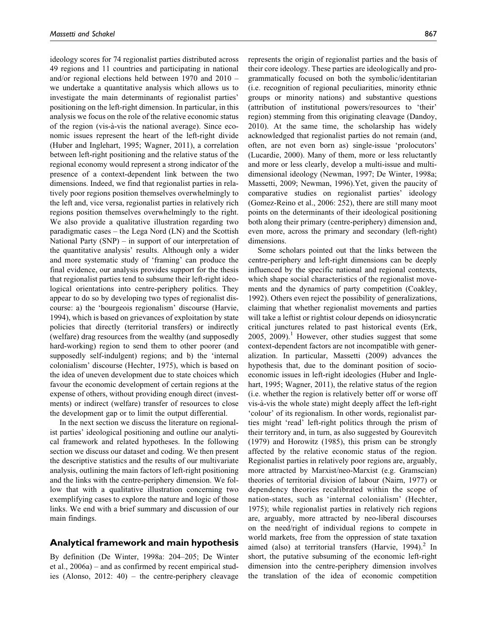ideology scores for 74 regionalist parties distributed across 49 regions and 11 countries and participating in national and/or regional elections held between 1970 and 2010 – we undertake a quantitative analysis which allows us to investigate the main determinants of regionalist parties' positioning on the left-right dimension. In particular, in this analysis we focus on the role of the relative economic status of the region (vis-a`-vis the national average). Since economic issues represent the heart of the left-right divide (Huber and Inglehart, 1995; Wagner, 2011), a correlation between left-right positioning and the relative status of the regional economy would represent a strong indicator of the presence of a context-dependent link between the two dimensions. Indeed, we find that regionalist parties in relatively poor regions position themselves overwhelmingly to the left and, vice versa, regionalist parties in relatively rich regions position themselves overwhelmingly to the right. We also provide a qualitative illustration regarding two paradigmatic cases – the Lega Nord (LN) and the Scottish National Party (SNP) – in support of our interpretation of the quantitative analysis' results. Although only a wider and more systematic study of 'framing' can produce the final evidence, our analysis provides support for the thesis that regionalist parties tend to subsume their left-right ideological orientations into centre-periphery politics. They appear to do so by developing two types of regionalist discourse: a) the 'bourgeois regionalism' discourse (Harvie, 1994), which is based on grievances of exploitation by state policies that directly (territorial transfers) or indirectly (welfare) drag resources from the wealthy (and supposedly hard-working) region to send them to other poorer (and supposedly self-indulgent) regions; and b) the 'internal colonialism' discourse (Hechter, 1975), which is based on the idea of uneven development due to state choices which favour the economic development of certain regions at the expense of others, without providing enough direct (investments) or indirect (welfare) transfer of resources to close the development gap or to limit the output differential.

In the next section we discuss the literature on regionalist parties' ideological positioning and outline our analytical framework and related hypotheses. In the following section we discuss our dataset and coding. We then present the descriptive statistics and the results of our multivariate analysis, outlining the main factors of left-right positioning and the links with the centre-periphery dimension. We follow that with a qualitative illustration concerning two exemplifying cases to explore the nature and logic of those links. We end with a brief summary and discussion of our main findings.

#### Analytical framework and main hypothesis

By definition (De Winter, 1998a: 204–205; De Winter et al., 2006a) – and as confirmed by recent empirical studies (Alonso, 2012: 40) – the centre-periphery cleavage

represents the origin of regionalist parties and the basis of their core ideology. These parties are ideologically and programmatically focused on both the symbolic/identitarian (i.e. recognition of regional peculiarities, minority ethnic groups or minority nations) and substantive questions (attribution of institutional powers/resources to 'their' region) stemming from this originating cleavage (Dandoy, 2010). At the same time, the scholarship has widely acknowledged that regionalist parties do not remain (and, often, are not even born as) single-issue 'prolocutors' (Lucardie, 2000). Many of them, more or less reluctantly and more or less clearly, develop a multi-issue and multidimensional ideology (Newman, 1997; De Winter, 1998a; Massetti, 2009; Newman, 1996).Yet, given the paucity of comparative studies on regionalist parties' ideology (Gomez-Reino et al., 2006: 252), there are still many moot points on the determinants of their ideological positioning both along their primary (centre-periphery) dimension and, even more, across the primary and secondary (left-right) dimensions.

Some scholars pointed out that the links between the centre-periphery and left-right dimensions can be deeply influenced by the specific national and regional contexts, which shape social characteristics of the regionalist movements and the dynamics of party competition (Coakley, 1992). Others even reject the possibility of generalizations, claiming that whether regionalist movements and parties will take a leftist or rightist colour depends on idiosyncratic critical junctures related to past historical events (Erk,  $2005$ ,  $2009$ ).<sup>1</sup> However, other studies suggest that some context-dependent factors are not incompatible with generalization. In particular, Massetti (2009) advances the hypothesis that, due to the dominant position of socioeconomic issues in left-right ideologies (Huber and Inglehart, 1995; Wagner, 2011), the relative status of the region (i.e. whether the region is relatively better off or worse off vis-a`-vis the whole state) might deeply affect the left-right 'colour' of its regionalism. In other words, regionalist parties might 'read' left-right politics through the prism of their territory and, in turn, as also suggested by Gourevitch (1979) and Horowitz (1985), this prism can be strongly affected by the relative economic status of the region. Regionalist parties in relatively poor regions are, arguably, more attracted by Marxist/neo-Marxist (e.g. Gramscian) theories of territorial division of labour (Nairn, 1977) or dependency theories recalibrated within the scope of nation-states, such as 'internal colonialism' (Hechter, 1975); while regionalist parties in relatively rich regions are, arguably, more attracted by neo-liberal discourses on the need/right of individual regions to compete in world markets, free from the oppression of state taxation aimed (also) at territorial transfers (Harvie,  $1994$ ).<sup>2</sup> In short, the putative subsuming of the economic left-right dimension into the centre-periphery dimension involves the translation of the idea of economic competition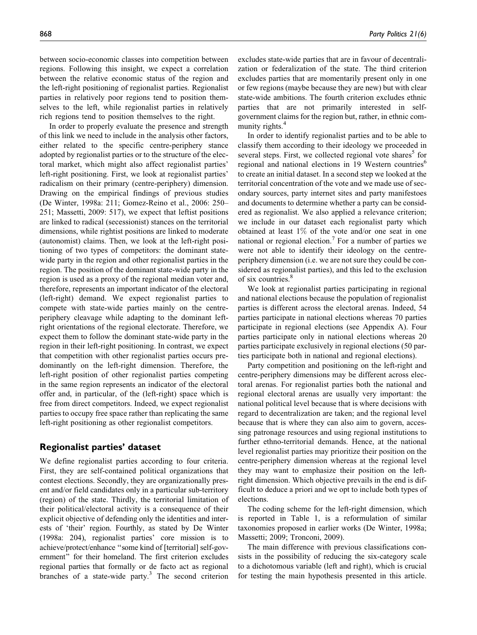between socio-economic classes into competition between regions. Following this insight, we expect a correlation between the relative economic status of the region and the left-right positioning of regionalist parties. Regionalist parties in relatively poor regions tend to position themselves to the left, while regionalist parties in relatively rich regions tend to position themselves to the right.

In order to properly evaluate the presence and strength of this link we need to include in the analysis other factors, either related to the specific centre-periphery stance adopted by regionalist parties or to the structure of the electoral market, which might also affect regionalist parties' left-right positioning. First, we look at regionalist parties' radicalism on their primary (centre-periphery) dimension. Drawing on the empirical findings of previous studies (De Winter, 1998a: 211; Gomez-Reino et al., 2006: 250– 251; Massetti, 2009: 517), we expect that leftist positions are linked to radical (secessionist) stances on the territorial dimensions, while rightist positions are linked to moderate (autonomist) claims. Then, we look at the left-right positioning of two types of competitors: the dominant statewide party in the region and other regionalist parties in the region. The position of the dominant state-wide party in the region is used as a proxy of the regional median voter and, therefore, represents an important indicator of the electoral (left-right) demand. We expect regionalist parties to compete with state-wide parties mainly on the centreperiphery cleavage while adapting to the dominant leftright orientations of the regional electorate. Therefore, we expect them to follow the dominant state-wide party in the region in their left-right positioning. In contrast, we expect that competition with other regionalist parties occurs predominantly on the left-right dimension. Therefore, the left-right position of other regionalist parties competing in the same region represents an indicator of the electoral offer and, in particular, of the (left-right) space which is free from direct competitors. Indeed, we expect regionalist parties to occupy free space rather than replicating the same left-right positioning as other regionalist competitors.

#### Regionalist parties' dataset

We define regionalist parties according to four criteria. First, they are self-contained political organizations that contest elections. Secondly, they are organizationally present and/or field candidates only in a particular sub-territory (region) of the state. Thirdly, the territorial limitation of their political/electoral activity is a consequence of their explicit objective of defending only the identities and interests of 'their' region. Fourthly, as stated by De Winter (1998a: 204), regionalist parties' core mission is to achieve/protect/enhance ''some kind of [territorial] self-government'' for their homeland. The first criterion excludes regional parties that formally or de facto act as regional branches of a state-wide party.3 The second criterion

excludes state-wide parties that are in favour of decentralization or federalization of the state. The third criterion excludes parties that are momentarily present only in one or few regions (maybe because they are new) but with clear state-wide ambitions. The fourth criterion excludes ethnic parties that are not primarily interested in selfgovernment claims for the region but, rather, in ethnic community rights.<sup>4</sup>

In order to identify regionalist parties and to be able to classify them according to their ideology we proceeded in several steps. First, we collected regional vote shares<sup>5</sup> for regional and national elections in 19 Western countries<sup>6</sup> to create an initial dataset. In a second step we looked at the territorial concentration of the vote and we made use of secondary sources, party internet sites and party manifestoes and documents to determine whether a party can be considered as regionalist. We also applied a relevance criterion; we include in our dataset each regionalist party which obtained at least 1% of the vote and/or one seat in one national or regional election.<sup>7</sup> For a number of parties we were not able to identify their ideology on the centreperiphery dimension (i.e. we are not sure they could be considered as regionalist parties), and this led to the exclusion of six countries.<sup>8</sup>

We look at regionalist parties participating in regional and national elections because the population of regionalist parties is different across the electoral arenas. Indeed, 54 parties participate in national elections whereas 70 parties participate in regional elections (see Appendix A). Four parties participate only in national elections whereas 20 parties participate exclusively in regional elections (50 parties participate both in national and regional elections).

Party competition and positioning on the left-right and centre-periphery dimensions may be different across electoral arenas. For regionalist parties both the national and regional electoral arenas are usually very important: the national political level because that is where decisions with regard to decentralization are taken; and the regional level because that is where they can also aim to govern, accessing patronage resources and using regional institutions to further ethno-territorial demands. Hence, at the national level regionalist parties may prioritize their position on the centre-periphery dimension whereas at the regional level they may want to emphasize their position on the leftright dimension. Which objective prevails in the end is difficult to deduce a priori and we opt to include both types of elections.

The coding scheme for the left-right dimension, which is reported in Table 1, is a reformulation of similar taxonomies proposed in earlier works (De Winter, 1998a; Massetti; 2009; Tronconi, 2009).

The main difference with previous classifications consists in the possibility of reducing the six-category scale to a dichotomous variable (left and right), which is crucial for testing the main hypothesis presented in this article.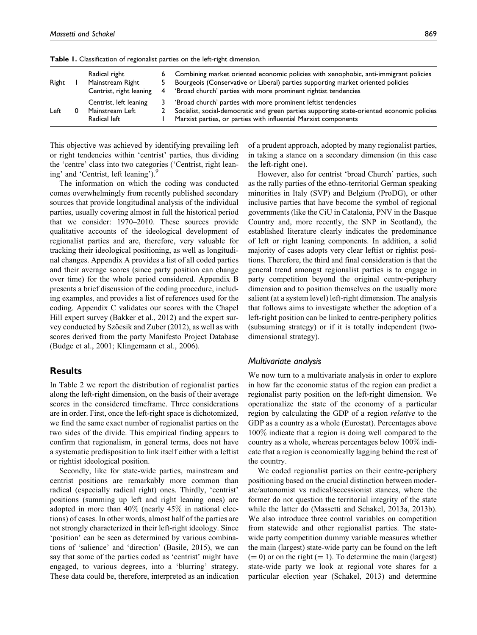| Right | Radical right<br>Mainstream Right<br>Centrist, right leaning | 6<br>4 | Combining market oriented economic policies with xenophobic, anti-immigrant policies<br>Bourgeois (Conservative or Liberal) parties supporting market oriented policies<br>'Broad church' parties with more prominent rightist tendencies |
|-------|--------------------------------------------------------------|--------|-------------------------------------------------------------------------------------------------------------------------------------------------------------------------------------------------------------------------------------------|
| Left  | Centrist, left leaning<br>Mainstream Left<br>Radical left    |        | 'Broad church' parties with more prominent leftist tendencies<br>Socialist, social-democratic and green parties supporting state-oriented economic policies<br>Marxist parties, or parties with influential Marxist components            |

Table 1. Classification of regionalist parties on the left-right dimension.

This objective was achieved by identifying prevailing left or right tendencies within 'centrist' parties, thus dividing the 'centre' class into two categories ('Centrist, right leaning' and 'Centrist, left leaning').<sup>9</sup>

The information on which the coding was conducted comes overwhelmingly from recently published secondary sources that provide longitudinal analysis of the individual parties, usually covering almost in full the historical period that we consider: 1970–2010. These sources provide qualitative accounts of the ideological development of regionalist parties and are, therefore, very valuable for tracking their ideological positioning, as well as longitudinal changes. Appendix A provides a list of all coded parties and their average scores (since party position can change over time) for the whole period considered. Appendix B presents a brief discussion of the coding procedure, including examples, and provides a list of references used for the coding. Appendix C validates our scores with the Chapel Hill expert survey (Bakker et al., 2012) and the expert survey conducted by Szöcsik and Zuber (2012), as well as with scores derived from the party Manifesto Project Database (Budge et al., 2001; Klingemann et al., 2006).

#### Results

In Table 2 we report the distribution of regionalist parties along the left-right dimension, on the basis of their average scores in the considered timeframe. Three considerations are in order. First, once the left-right space is dichotomized, we find the same exact number of regionalist parties on the two sides of the divide. This empirical finding appears to confirm that regionalism, in general terms, does not have a systematic predisposition to link itself either with a leftist or rightist ideological position.

Secondly, like for state-wide parties, mainstream and centrist positions are remarkably more common than radical (especially radical right) ones. Thirdly, 'centrist' positions (summing up left and right leaning ones) are adopted in more than 40% (nearly 45% in national elections) of cases. In other words, almost half of the parties are not strongly characterized in their left-right ideology. Since 'position' can be seen as determined by various combinations of 'salience' and 'direction' (Basile, 2015), we can say that some of the parties coded as 'centrist' might have engaged, to various degrees, into a 'blurring' strategy. These data could be, therefore, interpreted as an indication

of a prudent approach, adopted by many regionalist parties, in taking a stance on a secondary dimension (in this case the left-right one).

However, also for centrist 'broad Church' parties, such as the rally parties of the ethno-territorial German speaking minorities in Italy (SVP) and Belgium (ProDG), or other inclusive parties that have become the symbol of regional governments (like the CiU in Catalonia, PNV in the Basque Country and, more recently, the SNP in Scotland), the established literature clearly indicates the predominance of left or right leaning components. In addition, a solid majority of cases adopts very clear leftist or rightist positions. Therefore, the third and final consideration is that the general trend amongst regionalist parties is to engage in party competition beyond the original centre-periphery dimension and to position themselves on the usually more salient (at a system level) left-right dimension. The analysis that follows aims to investigate whether the adoption of a left-right position can be linked to centre-periphery politics (subsuming strategy) or if it is totally independent (twodimensional strategy).

#### Multivariate analysis

We now turn to a multivariate analysis in order to explore in how far the economic status of the region can predict a regionalist party position on the left-right dimension. We operationalize the state of the economy of a particular region by calculating the GDP of a region relative to the GDP as a country as a whole (Eurostat). Percentages above 100% indicate that a region is doing well compared to the country as a whole, whereas percentages below 100% indicate that a region is economically lagging behind the rest of the country.

We coded regionalist parties on their centre-periphery positioning based on the crucial distinction between moderate/autonomist vs radical/secessionist stances, where the former do not question the territorial integrity of the state while the latter do (Massetti and Schakel, 2013a, 2013b). We also introduce three control variables on competition from statewide and other regionalist parties. The statewide party competition dummy variable measures whether the main (largest) state-wide party can be found on the left  $(= 0)$  or on the right  $(= 1)$ . To determine the main (largest) state-wide party we look at regional vote shares for a particular election year (Schakel, 2013) and determine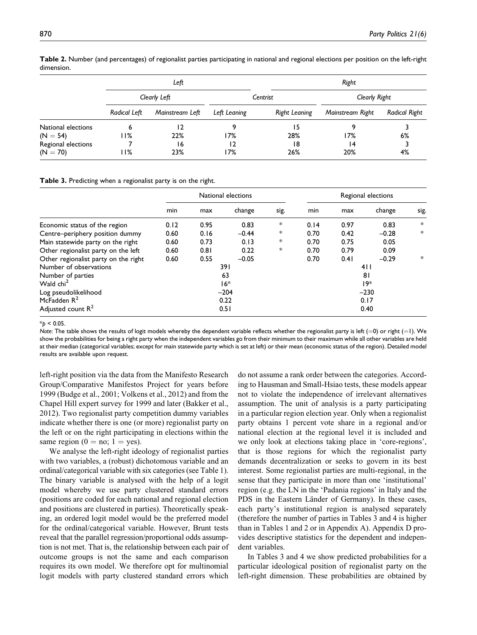|                                  |              | Left            |              | Right                |                  |               |  |  |
|----------------------------------|--------------|-----------------|--------------|----------------------|------------------|---------------|--|--|
|                                  |              | Clearly Left    |              | Centrist             | Clearly Right    |               |  |  |
|                                  | Radical Left | Mainstream Left | Left Leaning | <b>Right Leaning</b> | Mainstream Right | Radical Right |  |  |
| National elections<br>$(N = 54)$ | 6<br>11%     | 12<br>22%       | 17%          | 28%                  | 17%              | 6%            |  |  |
| Regional elections<br>$(N = 70)$ | 11%          | 16<br>23%       | 12<br>17%    | 18<br>26%            | 14<br>20%        | 4%            |  |  |

Table 2. Number (and percentages) of regionalist parties participating in national and regional elections per position on the left-right dimension.

Table 3. Predicting when a regionalist party is on the right.

|                                      |      |      | National elections | Regional elections |        |      |         |        |
|--------------------------------------|------|------|--------------------|--------------------|--------|------|---------|--------|
|                                      | min  | max  | change             | sig.               | min    | max  | change  | sig.   |
| Economic status of the region        | 0.12 | 0.95 | 0.83               | ∗                  | 0.14   | 0.97 | 0.83    | $\ast$ |
| Centre-periphery position dummy      | 0.60 | 0.16 | $-0.44$            | ∗                  | 0.70   | 0.42 | $-0.28$ | $\ast$ |
| Main statewide party on the right    | 0.60 | 0.73 | 0.13               | ∗                  | 0.70   | 0.75 | 0.05    |        |
| Other regionalist party on the left  | 0.60 | 0.81 | 0.22               | $\ast$             | 0.70   | 0.79 | 0.09    |        |
| Other regionalist party on the right | 0.60 | 0.55 | $-0.05$            |                    | 0.70   | 0.41 | $-0.29$ | $\ast$ |
| Number of observations               |      |      | 391                |                    | 411    |      |         |        |
| Number of parties                    |      |      | 63                 |                    | 81     |      |         |        |
| Wald chi <sup>2</sup>                |      |      | $16*$              |                    | ∗19    |      |         |        |
| Log pseudolikelihood                 |      |      | $-204$             |                    | $-230$ |      |         |        |
| McFadden $R^2$                       |      |      | 0.22               |                    | 0.17   |      |         |        |
| Adjusted count R <sup>2</sup>        |      |      | 0.51               |                    | 0.40   |      |         |        |

 $*_{D}$  < 0.05.

Note: The table shows the results of logit models whereby the dependent variable reflects whether the regionalist party is left  $(=0)$  or right  $(=1)$ . We show the probabilities for being a right party when the independent variables go from their minimum to their maximum while all other variables are held at their median (categorical variables; except for main statewide party which is set at left) or their mean (economic status of the region). Detailed model results are available upon request.

left-right position via the data from the Manifesto Research Group/Comparative Manifestos Project for years before 1999 (Budge et al., 2001; Volkens et al., 2012) and from the Chapel Hill expert survey for 1999 and later (Bakker et al., 2012). Two regionalist party competition dummy variables indicate whether there is one (or more) regionalist party on the left or on the right participating in elections within the same region ( $0 = no$ ; 1 = yes).

We analyse the left-right ideology of regionalist parties with two variables, a (robust) dichotomous variable and an ordinal/categorical variable with six categories (see Table 1). The binary variable is analysed with the help of a logit model whereby we use party clustered standard errors (positions are coded for each national and regional election and positions are clustered in parties). Theoretically speaking, an ordered logit model would be the preferred model for the ordinal/categorical variable. However, Brunt tests reveal that the parallel regression/proportional odds assumption is not met. That is, the relationship between each pair of outcome groups is not the same and each comparison requires its own model. We therefore opt for multinomial logit models with party clustered standard errors which

do not assume a rank order between the categories. According to Hausman and Small-Hsiao tests, these models appear not to violate the independence of irrelevant alternatives assumption. The unit of analysis is a party participating in a particular region election year. Only when a regionalist party obtains 1 percent vote share in a regional and/or national election at the regional level it is included and we only look at elections taking place in 'core-regions', that is those regions for which the regionalist party demands decentralization or seeks to govern in its best interest. Some regionalist parties are multi-regional, in the sense that they participate in more than one 'institutional' region (e.g. the LN in the 'Padania regions' in Italy and the PDS in the Eastern Länder of Germany). In these cases, each party's institutional region is analysed separately (therefore the number of parties in Tables 3 and 4 is higher than in Tables 1 and 2 or in Appendix A). Appendix D provides descriptive statistics for the dependent and independent variables.

In Tables 3 and 4 we show predicted probabilities for a particular ideological position of regionalist party on the left-right dimension. These probabilities are obtained by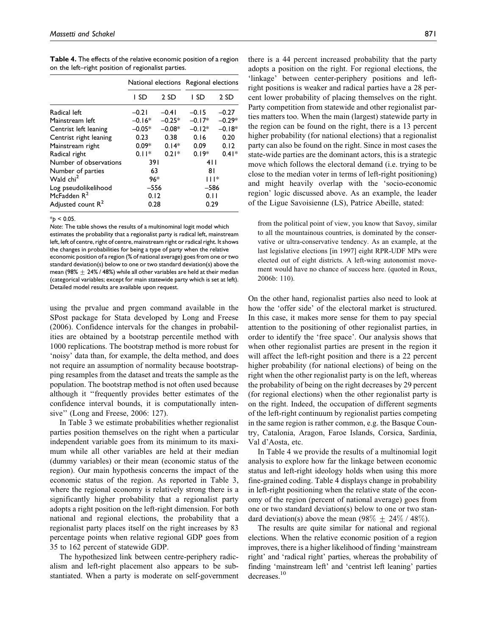|                        |          |          | National elections Regional elections |          |  |
|------------------------|----------|----------|---------------------------------------|----------|--|
|                        | I SD     | 2 SD     | I SD                                  | 2 SD     |  |
| Radical left           | $-0.21$  | $-0.41$  | $-0.15$                               | $-0.27$  |  |
| Mainstream left        | $-0.16*$ | $-0.25*$ | $-0.17*$                              | $-0.29*$ |  |
| Centrist left leaning  | $-0.05*$ | $-0.08*$ | $-0.12*$                              | $-0.18*$ |  |
| Centrist right leaning | 0.23     | 0.38     | 0.16                                  | 0.20     |  |
| Mainstream right       | $0.09*$  | $0.14*$  | 0.09                                  | 0.12     |  |
| Radical right          | $0.11*$  | $0.21*$  | $0.19*$                               | $0.41*$  |  |
| Number of observations | 391      |          | 411                                   |          |  |
| Number of parties      | 63       |          | 81                                    |          |  |
| Wald chi <sup>2</sup>  | $96*$    |          | $111*$                                |          |  |
| Log pseudolikelihood   | $-556$   |          | $-586$                                |          |  |
| McFadden $R^2$         | 0.12     |          | 0.11                                  |          |  |
| Adjusted count $R^2$   | 0.28     |          | 0.29                                  |          |  |

Table 4. The effects of the relative economic position of a region on the left–right position of regionalist parties.

 $*_{p} < 0.05$ 

Note: The table shows the results of a multinominal logit model which estimates the probability that a regionalist party is radical left, mainstream left, left of centre, right of centre, mainstream right or radical right. It shows the changes in probabilities for being a type of party when the relative economic position of a region (% of national average) goes from one or two standard deviation(s) below to one or two standard deviation(s) above the mean (98%  $\pm$  24% / 48%) while all other variables are held at their median (categorical variables; except for main statewide party which is set at left). Detailed model results are available upon request.

using the prvalue and prgen command available in the SPost package for Stata developed by Long and Freese (2006). Confidence intervals for the changes in probabilities are obtained by a bootstrap percentile method with 1000 replications. The bootstrap method is more robust for 'noisy' data than, for example, the delta method, and does not require an assumption of normality because bootstrapping resamples from the dataset and treats the sample as the population. The bootstrap method is not often used because although it ''frequently provides better estimates of the confidence interval bounds, it is computationally intensive" (Long and Freese, 2006: 127).

In Table 3 we estimate probabilities whether regionalist parties position themselves on the right when a particular independent variable goes from its minimum to its maximum while all other variables are held at their median (dummy variables) or their mean (economic status of the region). Our main hypothesis concerns the impact of the economic status of the region. As reported in Table 3, where the regional economy is relatively strong there is a significantly higher probability that a regionalist party adopts a right position on the left-right dimension. For both national and regional elections, the probability that a regionalist party places itself on the right increases by 83 percentage points when relative regional GDP goes from 35 to 162 percent of statewide GDP.

The hypothesized link between centre-periphery radicalism and left-right placement also appears to be substantiated. When a party is moderate on self-government there is a 44 percent increased probability that the party adopts a position on the right. For regional elections, the 'linkage' between center-periphery positions and leftright positions is weaker and radical parties have a 28 percent lower probability of placing themselves on the right. Party competition from statewide and other regionalist parties matters too. When the main (largest) statewide party in the region can be found on the right, there is a 13 percent higher probability (for national elections) that a regionalist party can also be found on the right. Since in most cases the state-wide parties are the dominant actors, this is a strategic move which follows the electoral demand (i.e. trying to be close to the median voter in terms of left-right positioning) and might heavily overlap with the 'socio-economic region' logic discussed above. As an example, the leader of the Ligue Savoisienne (LS), Patrice Abeille, stated:

from the political point of view, you know that Savoy, similar to all the mountainous countries, is dominated by the conservative or ultra-conservative tendency. As an example, at the last legislative elections [in 1997] eight RPR-UDF MPs were elected out of eight districts. A left-wing autonomist movement would have no chance of success here. (quoted in Roux, 2006b: 110).

On the other hand, regionalist parties also need to look at how the 'offer side' of the electoral market is structured. In this case, it makes more sense for them to pay special attention to the positioning of other regionalist parties, in order to identify the 'free space'. Our analysis shows that when other regionalist parties are present in the region it will affect the left-right position and there is a 22 percent higher probability (for national elections) of being on the right when the other regionalist party is on the left, whereas the probability of being on the right decreases by 29 percent (for regional elections) when the other regionalist party is on the right. Indeed, the occupation of different segments of the left-right continuum by regionalist parties competing in the same region is rather common, e.g. the Basque Country, Catalonia, Aragon, Faroe Islands, Corsica, Sardinia, Val d'Aosta, etc.

In Table 4 we provide the results of a multinomial logit analysis to explore how far the linkage between economic status and left-right ideology holds when using this more fine-grained coding. Table 4 displays change in probability in left-right positioning when the relative state of the economy of the region (percent of national average) goes from one or two standard deviation(s) below to one or two standard deviation(s) above the mean (98\%  $\pm$  24\% / 48\%).

The results are quite similar for national and regional elections. When the relative economic position of a region improves, there is a higher likelihood of finding 'mainstream right' and 'radical right' parties, whereas the probability of finding 'mainstream left' and 'centrist left leaning' parties decreases.<sup>10</sup>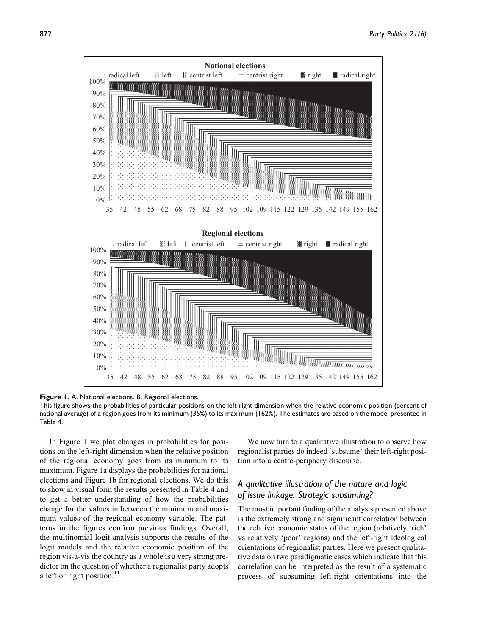

Figure 1. A. National elections. B. Regional elections.

This figure shows the probabilities of particular positions on the left-right dimension when the relative economic position (percent of national average) of a region goes from its minimum (35%) to its maximum (162%). The estimates are based on the model presented in Table 4.

In Figure 1 we plot changes in probabilities for positions on the left-right dimension when the relative position of the regional economy goes from its minimum to its maximum. Figure 1a displays the probabilities for national elections and Figure 1b for regional elections. We do this to show in visual form the results presented in Table 4 and to get a better understanding of how the probabilities change for the values in between the minimum and maximum values of the regional economy variable. The patterns in the figures confirm previous findings. Overall, the multinomial logit analysis supports the results of the logit models and the relative economic position of the region vis-a-vis the country as a whole is a very strong predictor on the question of whether a regionalist party adopts a left or right position. $11$ 

We now turn to a qualitative illustration to observe how regionalist parties do indeed 'subsume' their left-right position into a centre-periphery discourse.

#### A qualitative illustration of the nature and logic of issue linkage: Strategic subsuming?

The most important finding of the analysis presented above is the extremely strong and significant correlation between the relative economic status of the region (relatively 'rich' vs relatively 'poor' regions) and the left-right ideological orientations of regionalist parties. Here we present qualitative data on two paradigmatic cases which indicate that this correlation can be interpreted as the result of a systematic process of subsuming left-right orientations into the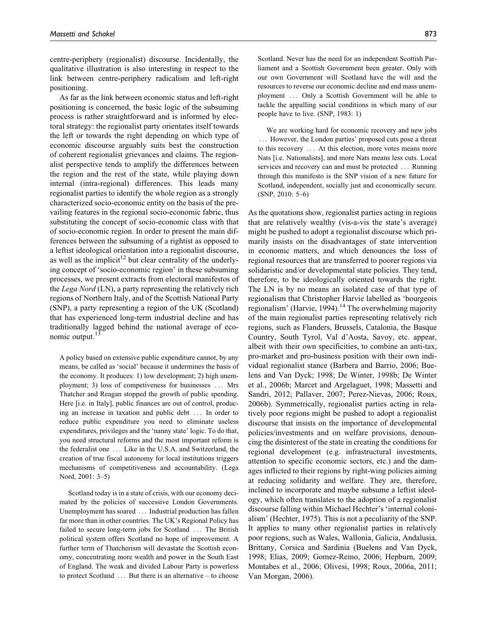centre-periphery (regionalist) discourse. Incidentally, the qualitative illustration is also interesting in respect to the link between centre-periphery radicalism and left-right positioning.

As far as the link between economic status and left-right positioning is concerned, the basic logic of the subsuming process is rather straightforward and is informed by electoral strategy: the regionalist party orientates itself towards the left or towards the right depending on which type of economic discourse arguably suits best the construction of coherent regionalist grievances and claims. The regionalist perspective tends to amplify the differences between the region and the rest of the state, while playing down internal (intra-regional) differences. This leads many regionalist parties to identify the whole region as a strongly characterized socio-economic entity on the basis of the prevailing features in the regional socio-economic fabric, thus substituting the concept of socio-economic class with that of socio-economic region. In order to present the main differences between the subsuming of a rightist as opposed to a leftist ideological orientation into a regionalist discourse, as well as the implicit<sup>12</sup> but clear centrality of the underlying concept of 'socio-economic region' in these subsuming processes, we present extracts from electoral manifestos of the Lega Nord (LN), a party representing the relatively rich regions of Northern Italy, and of the Scottish National Party (SNP), a party representing a region of the UK (Scotland) that has experienced long-term industrial decline and has traditionally lagged behind the national average of economic output.<sup>13</sup>

A policy based on extensive public expenditure cannot, by any means, be called as 'social' because it undermines the basis of the economy. It produces: 1) low development; 2) high unemployment; 3) loss of competiveness for businesses ... Mrs Thatcher and Reagan stopped the growth of public spending. Here [i.e. in Italy], public finances are out of control, producing an increase in taxation and public debt ... In order to reduce public expenditure you need to eliminate useless expenditures, privileges and the 'nanny state' logic. To do that, you need structural reforms and the most important reform is the federalist one ... Like in the U.S.A. and Switzerland, the creation of true fiscal autonomy for local institutions triggers mechanisms of competitiveness and accountability. (Lega Nord, 2001: 3–5)

Scotland today is in a state of crisis, with our economy decimated by the policies of successive London Governments. Unemployment has soared ... Industrial production has fallen far more than in other countries. The UK's Regional Policy has failed to secure long-term jobs for Scotland ... The British political system offers Scotland no hope of improvement. A further term of Thatcherism will devastate the Scottish economy, concentrating more wealth and power in the South East of England. The weak and divided Labour Party is powerless to protect Scotland ... But there is an alternative – to choose Scotland. Never has the need for an independent Scottish Parliament and a Scottish Government been greater. Only with our own Government will Scotland have the will and the resources to reverse our economic decline and end mass unemployment ... Only a Scottish Government will be able to tackle the appalling social conditions in which many of our people have to live. (SNP, 1983: 1)

We are working hard for economic recovery and new jobs ... However, the London parties' proposed cuts pose a threat to this recovery ... At this election, more votes means more Nats [i.e. Nationalists], and more Nats means less cuts. Local services and recovery can and must be protected ... Running through this manifesto is the SNP vision of a new future for Scotland, independent, socially just and economically secure. (SNP, 2010: 5–6)

As the quotations show, regionalist parties acting in regions that are relatively wealthy (vis-a-vis the state's average) might be pushed to adopt a regionalist discourse which primarily insists on the disadvantages of state intervention in economic matters, and which denounces the loss of regional resources that are transferred to poorer regions via solidaristic and/or developmental state policies. They tend, therefore, to be ideologically oriented towards the right. The LN is by no means an isolated case of that type of regionalism that Christopher Harvie labelled as 'bourgeois regionalism' (Harvie, 1994).<sup>14</sup> The overwhelming majority of the main regionalist parties representing relatively rich regions, such as Flanders, Brussels, Catalonia, the Basque Country, South Tyrol, Val d'Aosta, Savoy, etc. appear, albeit with their own specificities, to combine an anti-tax, pro-market and pro-business position with their own individual regionalist stance (Barbera and Barrio, 2006; Buelens and Van Dyck; 1998; De Winter, 1998b; De Winter et al., 2006b; Marcet and Argelaguet, 1998; Massetti and Sandri, 2012; Pallaver, 2007; Perez-Nievas, 2006; Roux, 2006b). Symmetrically, regionalist parties acting in relatively poor regions might be pushed to adopt a regionalist discourse that insists on the importance of developmental policies/investments and on welfare provisions, denouncing the disinterest of the state in creating the conditions for regional development (e.g. infrastructural investments, attention to specific economic sectors, etc.) and the damages inflicted to their regions by right-wing policies aiming at reducing solidarity and welfare. They are, therefore, inclined to incorporate and maybe subsume a leftist ideology, which often translates to the adoption of a regionalist discourse falling within Michael Hechter's 'internal colonialism' (Hechter, 1975). This is not a peculiarity of the SNP. It applies to many other regionalist parties in relatively poor regions, such as Wales, Wallonia, Galicia, Andalusia, Brittany, Corsica and Sardinia (Buelens and Van Dyck, 1998; Elias, 2009; Gomez-Reino, 2006; Hepburn, 2009; Montabes et al., 2006; Olivesi, 1998; Roux, 2006a, 2011; Van Morgan, 2006).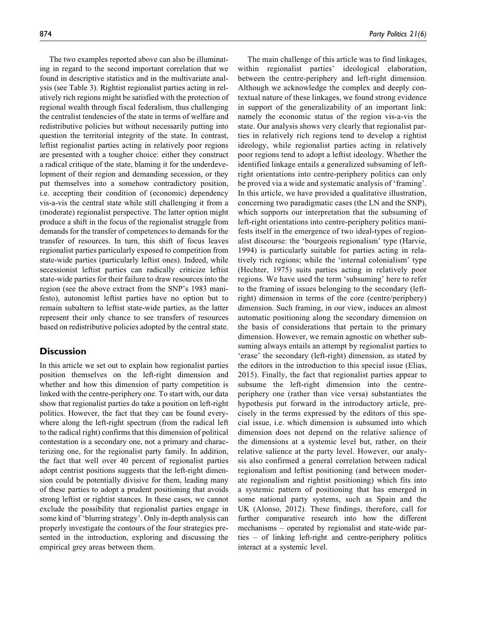The two examples reported above can also be illuminating in regard to the second important correlation that we found in descriptive statistics and in the multivariate analysis (see Table 3). Rightist regionalist parties acting in relatively rich regions might be satisfied with the protection of regional wealth through fiscal federalism, thus challenging the centralist tendencies of the state in terms of welfare and redistributive policies but without necessarily putting into question the territorial integrity of the state. In contrast, leftist regionalist parties acting in relatively poor regions are presented with a tougher choice: either they construct a radical critique of the state, blaming it for the underdevelopment of their region and demanding secession, or they put themselves into a somehow contradictory position, i.e. accepting their condition of (economic) dependency vis-a-vis the central state while still challenging it from a (moderate) regionalist perspective. The latter option might produce a shift in the focus of the regionalist struggle from demands for the transfer of competences to demands for the transfer of resources. In turn, this shift of focus leaves regionalist parties particularly exposed to competition from state-wide parties (particularly leftist ones). Indeed, while secessionist leftist parties can radically criticize leftist state-wide parties for their failure to draw resources into the region (see the above extract from the SNP's 1983 manifesto), autonomist leftist parties have no option but to remain subaltern to leftist state-wide parties, as the latter represent their only chance to see transfers of resources based on redistributive policies adopted by the central state.

#### **Discussion**

In this article we set out to explain how regionalist parties position themselves on the left-right dimension and whether and how this dimension of party competition is linked with the centre-periphery one. To start with, our data show that regionalist parties do take a position on left-right politics. However, the fact that they can be found everywhere along the left-right spectrum (from the radical left to the radical right) confirms that this dimension of political contestation is a secondary one, not a primary and characterizing one, for the regionalist party family. In addition, the fact that well over 40 percent of regionalist parties adopt centrist positions suggests that the left-right dimension could be potentially divisive for them, leading many of these parties to adopt a prudent positioning that avoids strong leftist or rightist stances. In these cases, we cannot exclude the possibility that regionalist parties engage in some kind of 'blurring strategy'. Only in-depth analysis can properly investigate the contours of the four strategies presented in the introduction, exploring and discussing the empirical grey areas between them.

The main challenge of this article was to find linkages, within regionalist parties' ideological elaboration, between the centre-periphery and left-right dimension. Although we acknowledge the complex and deeply contextual nature of these linkages, we found strong evidence in support of the generalizability of an important link: namely the economic status of the region vis-a-vis the state. Our analysis shows very clearly that regionalist parties in relatively rich regions tend to develop a rightist ideology, while regionalist parties acting in relatively poor regions tend to adopt a leftist ideology. Whether the identified linkage entails a generalized subsuming of leftright orientations into centre-periphery politics can only be proved via a wide and systematic analysis of 'framing'. In this article, we have provided a qualitative illustration, concerning two paradigmatic cases (the LN and the SNP), which supports our interpretation that the subsuming of left-right orientations into centre-periphery politics manifests itself in the emergence of two ideal-types of regionalist discourse: the 'bourgeois regionalism' type (Harvie, 1994) is particularly suitable for parties acting in relatively rich regions; while the 'internal colonialism' type (Hechter, 1975) suits parties acting in relatively poor regions. We have used the term 'subsuming' here to refer to the framing of issues belonging to the secondary (leftright) dimension in terms of the core (centre/periphery) dimension. Such framing, in our view, induces an almost automatic positioning along the secondary dimension on the basis of considerations that pertain to the primary dimension. However, we remain agnostic on whether subsuming always entails an attempt by regionalist parties to 'erase' the secondary (left-right) dimension, as stated by the editors in the introduction to this special issue (Elias, 2015). Finally, the fact that regionalist parties appear to subsume the left-right dimension into the centreperiphery one (rather than vice versa) substantiates the hypothesis put forward in the introductory article, precisely in the terms expressed by the editors of this special issue, i.e. which dimension is subsumed into which dimension does not depend on the relative salience of the dimensions at a systemic level but, rather, on their relative salience at the party level. However, our analysis also confirmed a general correlation between radical regionalism and leftist positioning (and between moderate regionalism and rightist positioning) which fits into a systemic pattern of positioning that has emerged in some national party systems, such as Spain and the UK (Alonso, 2012). These findings, therefore, call for further comparative research into how the different mechanisms – operated by regionalist and state-wide parties – of linking left-right and centre-periphery politics interact at a systemic level.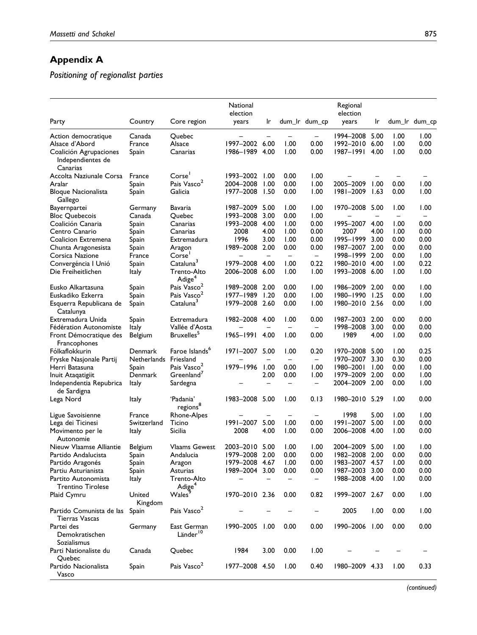## Appendix A

## Positioning of regionalist parties

|                                                                        |                       |                                               | National<br>election     |                          |                           |                          | Regional<br>election        |      |                          |               |
|------------------------------------------------------------------------|-----------------------|-----------------------------------------------|--------------------------|--------------------------|---------------------------|--------------------------|-----------------------------|------|--------------------------|---------------|
| Party                                                                  | Country               | Core region                                   | years                    | Ir                       |                           | dum_lr_dum_cp            | years                       | Ir   |                          | dum_lr dum_cp |
| Action democratique                                                    | Canada                | Quebec                                        |                          |                          | $=$                       | $-$                      | 1994–2008                   | 5.00 | 1.00                     | 1.00          |
| Alsace d'Abord                                                         | France                | Alsace                                        | 1997-2002                | 6.00                     | 1.00                      | 0.00                     | 1992-2010                   | 6.00 | 1.00                     | 0.00          |
| Coalición Agrupaciones<br>Independientes de<br>Canarias                | Spain                 | Canarias                                      | 1986–1989                | 4.00                     | 1.00                      | 0.00                     | 1987–1991                   | 4.00 | 1.00                     | 0.00          |
| Accolta Naziunale Corsa                                                | France                | Corse <sup>1</sup>                            | 1993-2002                | 1.00                     | 0.00                      | 1.00                     |                             |      | $\overline{\phantom{0}}$ |               |
| Aralar                                                                 | Spain                 | Pais Vasco <sup>2</sup>                       | 2004-2008                | 1.00                     | 0.00                      | 1.00                     | 2005-2009                   | 1.00 | 0.00                     | 1.00          |
| <b>Bloque Nacionalista</b><br>Gallego                                  | Spain                 | Galicia                                       | 1977-2008                | 1.50                     | 0.00                      | 1.00                     | 1981-2009                   | 1.63 | 0.00                     | 1.00          |
| Bayernpartei                                                           | Germany               | Bavaria                                       | 1987-2009                | 5.00                     | 1.00                      | 1.00                     | 1970-2008 5.00              |      | 1.00                     | 1.00          |
| <b>Bloc Quebecois</b>                                                  | Canada                | Quebec                                        | 1993-2008                | 3.00                     | 0.00                      | 1.00                     |                             |      | $\overline{\phantom{0}}$ | -             |
| Coalición Canaria                                                      | Spain                 | Canarias                                      | 1993-2008                | 4.00                     | 1.00                      | 0.00                     | 1995–2007                   | 4.00 | 1.00                     | 0.00          |
| Centro Canario                                                         | Spain                 | Canarias                                      | 2008                     | 4.00                     | 1.00                      | 0.00                     | 2007                        | 4.00 | 1.00                     | 0.00          |
| Coalicion Extremena                                                    | Spain                 | Extremadura                                   | 1996                     | 3.00                     | 1.00                      | 0.00                     | 1995–1999                   | 3.00 | 0.00                     | 0.00          |
| Chunta Aragonesista                                                    | Spain                 | Aragon                                        | 1989-2008                | 2.00                     | 0.00                      | 0.00                     | 1987-2007 2.00              |      | 0.00                     | 0.00          |
| Corsica Nazione                                                        | France                | Corse'                                        |                          | $\overline{\phantom{0}}$ | $\overline{\phantom{0}}$  | $\qquad \qquad -$        | 1998-1999                   | 2.00 | 0.00                     | 1.00          |
| Convergéncia I Unió                                                    | Spain                 | Cataluna <sup>3</sup>                         | 1979-2008                | 4.00                     | 1.00                      | 0.22                     | 1980-2010 4.00              |      | 1.00                     | 0.22          |
| Die Freiheitlichen                                                     | ltaly                 | Trento-Alto<br>Adige <sup>4</sup>             | 2006–2008                | 6.00                     | 1.00                      | 1.00                     | 1993-2008 6.00              |      | 1.00                     | 1.00          |
| Eusko Alkartasuna                                                      | Spain                 | Pais Vasco <sup>2</sup>                       | 1989-2008                | 2.00                     | 0.00                      | 1.00                     | l 986–2009                  | 2.00 | 0.00                     | 1.00          |
| Euskadiko Ezkerra                                                      | Spain                 | Pais Vasco <sup>2</sup>                       | 1977–1989                | 1.20                     | 0.00                      | 1.00                     | 1980-1990                   | 1.25 | 0.00                     | 1.00          |
| Esquerra Republicana de<br>Catalunya                                   | Spain                 | Cataluna <sup>3</sup>                         | 1979-2008                | 2.60                     | 0.00                      | 1.00                     | 1980-2010 2.56              |      | 0.00                     | 1.00          |
| Extremadura Unida                                                      | Spain                 | Extremadura                                   | 1982-2008                | 4.00                     | 1.00                      | 0.00                     | 1987-2003                   | 2.00 | 0.00                     | 0.00          |
| Fédération Autonomiste                                                 | Italy                 | Vallée d'Aosta                                | $\overline{\phantom{0}}$ |                          | $\qquad \qquad -$         | -                        | 1998-2008                   | 3.00 | 0.00                     | 0.00          |
| Front Démocratique des<br>Francophones                                 | Belgium               | Bruxelles <sup>5</sup>                        | 1965-1991                | 4.00                     | 1.00                      | 0.00                     | 1989                        | 4.00 | 1.00                     | 0.00          |
| Fólkaflokkurin                                                         | Denmark               | Faroe Islands <sup>6</sup>                    | 1971-2007                | 5.00                     | 1.00                      | 0.20                     | 1970-2008                   | 5.00 | 1.00                     | 0.25          |
| Fryske Nasjonale Partij                                                | Netherlands Friesland |                                               |                          | —                        | $\overline{\phantom{0}}$  | $-$                      | 1970–2007                   | 3.30 | 0.30                     | 0.00          |
| Herri Batasuna                                                         | Spain                 | Pais Vasco <sup>2</sup>                       | 1979-1996                | 1.00                     | 0.00                      | 1.00                     | 1980-2001                   | 1.00 | 0.00                     | 1.00          |
| Inuit Ataqatigiit                                                      | Denmark               | Greenland'                                    |                          | 2.00                     | 0.00                      | 1.00                     | 1979-2009                   | 2.00 | 0.00                     | 1.00          |
| Independentia Repubrica<br>de Sardigna                                 | Italy                 | Sardegna                                      |                          | $\overline{\phantom{0}}$ | $\overline{\phantom{0}}$  | $\qquad \qquad -$        | 2004-2009 2.00              |      | 0.00                     | 1.00          |
| Lega Nord                                                              | Italy                 | 'Padania'<br>regions <sup>8</sup>             | 1983-2008                | 5.00                     | 1.00                      | 0.13                     | 1980-2010                   | 5.29 | 1.00                     | 0.00          |
| Ligue Savoisienne                                                      | France                | Rhone-Alpes                                   |                          |                          | $\overline{\phantom{0}}$  | $\overline{\phantom{0}}$ | 1998                        | 5.00 | 1.00                     | 1.00          |
| Lega dei Ticinesi                                                      | Switzerland           | Ticino                                        | 1991-2007                | 5.00                     | 1.00                      | 0.00                     | $1991 - 2007$               | 5.00 | 1.00                     | 0.00          |
| Movimento per le<br>Autonomie                                          | Italy                 | Sicilia                                       | 2008                     | 4.00                     | 1.00                      | 0.00                     | 2006-2008                   | 4.00 | 1.00                     | 0.00          |
| Nieuw Vlaamse Alliantie                                                | <b>Belgium</b>        | <b>Vlaams Gewest</b>                          | 2003-2010                | 5.00                     | 1.00                      | 1.00                     | 2004-2009                   | 5.00 | 1.00                     | 1.00          |
| Partido Andalucista                                                    | Spain                 | Andalucia                                     | 1979-2008 2.00           |                          | 0.00                      | 0.00                     | 1982-2008 2.00              |      | 0.00                     | 0.00          |
| Partido Aragonés                                                       | Spain                 | Aragon                                        | 1979-2008 4.67           |                          | 1.00                      | 0.00                     | 1983-2007 4.57              |      | 1.00                     | 0.00          |
| Partiu Asturianista<br>Partito Autonomista<br><b>Trentino Tirolese</b> | Spain<br>ltaly        | Asturias<br>Trento-Alto<br>Adige <sup>4</sup> | 1989-2004 3.00<br>—      |                          | 0.00<br>$\qquad \qquad -$ | 0.00<br>-                | 1987-2003<br>1988-2008 4.00 | 3.00 | 0.00<br>1.00             | 0.00<br>0.00  |
| Plaid Cymru                                                            | United<br>Kingdom     | Wales <sup>5</sup>                            | 1970-2010 2.36           |                          | 0.00                      | 0.82                     | 1999-2007 2.67              |      | 0.00                     | 1.00          |
| Partido Comunista de las<br>Tierras Vascas                             | Spain                 | Pais Vasco <sup>2</sup>                       |                          |                          |                           |                          | 2005                        | 1.00 | 0.00                     | 1.00          |
| Partei des<br>Demokratischen                                           | Germany               | East German<br>Länder <sup>10</sup>           | 1990-2005 1.00           |                          | 0.00                      | 0.00                     | 1990-2006 1.00              |      | 0.00                     | 0.00          |
| Sozialismus<br>Parti Nationaliste du<br>Quebec                         | Canada                | Quebec                                        | 1984                     | 3.00                     | 0.00                      | 1.00                     |                             |      |                          |               |
| Partido Nacionalista<br>Vasco                                          | Spain                 | Pais Vasco <sup>2</sup>                       | 1977-2008 4.50           |                          | 1.00                      | 0.40                     | 1980-2009 4.33              |      | 1.00                     | 0.33          |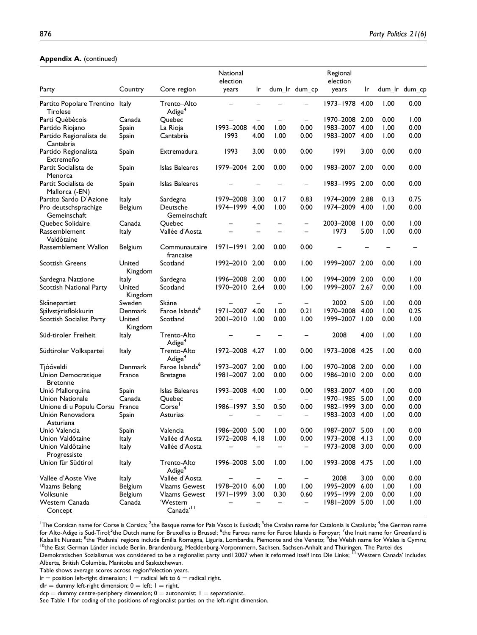| Party                                       | Country           | Core region                       | National<br>election<br>years | Ir                       |                          | dum_lr dum_cp            | Regional<br>election<br>years | Ir   |      | dum_lr dum_cp |
|---------------------------------------------|-------------------|-----------------------------------|-------------------------------|--------------------------|--------------------------|--------------------------|-------------------------------|------|------|---------------|
|                                             |                   |                                   |                               |                          |                          |                          |                               |      |      |               |
| Partito Popolare Trentino Italy<br>Tirolese |                   | Trento–Alto<br>Adige <sup>4</sup> |                               |                          |                          |                          | 1973-1978 4.00                |      | 1.00 | 0.00          |
| Parti Québécois                             | Canada            | <b>Ouebec</b>                     |                               |                          | $\overline{\phantom{0}}$ | $\overline{\phantom{0}}$ | 1970–2008                     | 2.00 | 0.00 | 1.00          |
| Partido Riojano                             | Spain             | La Rioja                          | 1993-2008                     | 4.00                     | 1.00                     | 0.00                     | 1983-2007                     | 4.00 | 1.00 | 0.00          |
| Partido Regionalista de<br>Cantabria        | Spain             | Cantabria                         | 1993                          | 4.00                     | 1.00                     | 0.00                     | 1983-2007                     | 4.00 | 1.00 | 0.00          |
| Partido Regionalista<br>Extremeño           | Spain             | Extremadura                       | 1993                          | 3.00                     | 0.00                     | 0.00                     | 1991                          | 3.00 | 0.00 | 0.00          |
| Partit Socialista de<br>Menorca             | Spain             | Islas Baleares                    | 1979-2004 2.00                |                          | 0.00                     | 0.00                     | 1983-2007 2.00                |      | 0.00 | 0.00          |
| Partit Socialista de<br>Mallorca (-EN)      | Spain             | Islas Baleares                    |                               |                          |                          | $\overline{\phantom{0}}$ | 1983-1995                     | 2.00 | 0.00 | 0.00          |
| Partito Sardo D'Azione                      | ltaly             | Sardegna                          | 1979-2008                     | 3.00                     | 0.17                     | 0.83                     | 1974-2009                     | 2.88 | 0.13 | 0.75          |
| Pro deutschsprachige<br>Gemeinschaft        | Belgium           | Deutsche<br>Gemeinschaft          | 1974-1999 4.00                |                          | 1.00                     | 0.00                     | 1974-2009                     | 4.00 | 1.00 | 0.00          |
| Quebec Solidaire                            | Canada            | Quebec                            |                               |                          |                          | $\overline{\phantom{0}}$ | 2003-2008                     | 1.00 | 0.00 | 1.00          |
| Rassemblement<br>Valdôtaine                 | <b>Italy</b>      | Vallée d'Aosta                    |                               |                          |                          | $\equiv$                 | 1973                          | 5.00 | 1.00 | 0.00          |
| Rassemblement Wallon                        | Belgium           | Communautaire<br>francaise        | 1971–1991                     | 2.00                     | 0.00                     | 0.00                     |                               |      |      |               |
| <b>Scottish Greens</b>                      | United<br>Kingdom | Scotland                          | 1992-2010 2.00                |                          | 0.00                     | 1.00                     | 1999-2007                     | 2.00 | 0.00 | 1.00          |
| Sardegna Natzione                           | ltaly             | Sardegna                          | 1996-2008 2.00                |                          | 0.00                     | 1.00                     | 1994-2009                     | 2.00 | 0.00 | 1.00          |
| <b>Scottish National Party</b>              | United<br>Kingdom | Scotland                          | 1970-2010 2.64                |                          | 0.00                     | 1.00                     | 1999-2007                     | 2.67 | 0.00 | 1.00          |
| Skånepartiet                                | Sweden            | Skåne                             |                               |                          | $\equiv$                 | $-$                      | 2002                          | 5.00 | 1.00 | 0.00          |
| Sjálvstýrisflokkurin                        | Denmark           | Faroe Islands <sup>6</sup>        | $1971 - 2007$                 | 4.00                     | 1.00                     | 0.21                     | 1970-2008                     | 4.00 | 1.00 | 0.25          |
| Scottish Socialist Party                    | United<br>Kingdom | Scotland                          | 2001-2010                     | 1.00                     | 0.00                     | 1.00                     | 1999-2007                     | 1.00 | 0.00 | 1.00          |
| Süd-tiroler Freiheit                        | ltaly             | Trento-Alto<br>Adige <sup>4</sup> |                               |                          |                          |                          | 2008                          | 4.00 | 1.00 | 1.00          |
| Südtiroler Volkspartei                      | Italy             | Trento-Alto<br>Adige <sup>4</sup> | 1972-2008 4.27                |                          | 1.00                     | 0.00                     | 1973-2008                     | 4.25 | 1.00 | 0.00          |
| Tjóôveldi                                   | Denmark           | Faroe Islands <sup>6</sup>        | 1973–2007                     | 2.00                     | 0.00                     | 1.00                     | 1970–2008                     | 2.00 | 0.00 | 1.00          |
| Union Democratique<br><b>Bretonne</b>       | France            | <b>Bretagne</b>                   | 1981-2007 2.00                |                          | 0.00                     | 0.00                     | 1986-2010 2.00                |      | 0.00 | 0.00          |
| Unió Mallorquina                            | Spain             | Islas Baleares                    | 1993-2008                     | 4.00                     | 1.00                     | 0.00                     | 1983-2007                     | 4.00 | 1.00 | 0.00          |
| Union Nationale                             | Canada            | Quebec                            |                               |                          | $\overline{\phantom{0}}$ | $-$                      | 1970-1985                     | 5.00 | 1.00 | 0.00          |
| Unione di u Populu Corsu                    | France            | Corse <sup>'</sup>                | 1986-1997                     | 3.50                     | 0.50                     | 0.00                     | 1982-1999                     | 3.00 | 0.00 | 0.00          |
| Unión Renovadora<br>Asturiana               | Spain             | Asturias                          |                               |                          | $\overline{\phantom{0}}$ | -                        | 1983-2003                     | 4.00 | 1.00 | 0.00          |
| Unió Valencia                               | Spain             | Valencia                          | 1986-2000 5.00                |                          | 1.00                     | 0.00                     | 1987-2007 5.00                |      | 1.00 | 0.00          |
| Union Valdôtaine                            | <b>Italy</b>      | Vallée d'Aosta                    | 1972-2008 4.18                |                          | 1.00                     | 0.00                     | 1973-2008                     | 4.13 | 1.00 | 0.00          |
| Union Valdôtaine<br>Progressiste            | Italy             | Vallée d'Aosta                    | —                             | $\overline{\phantom{0}}$ | $\overline{\phantom{0}}$ | $\overline{\phantom{0}}$ | 1973-2008 3.00                |      | 0.00 | 0.00          |
| Union für Südtirol                          | Italy             | Trento-Alto<br>Adige <sup>4</sup> | 1996-2008 5.00                |                          | 1.00                     | 1.00                     | 1993-2008 4.75                |      | 1.00 | 1.00          |
| Vallée d'Aoste Vive                         | ltaly             | Vallée d'Aosta                    |                               |                          |                          | -                        | 2008                          | 3.00 | 0.00 | 0.00          |
| Vlaams Belang                               | Belgium           | <b>Vlaams Gewest</b>              | 1978-2010                     | 6.00                     | 1.00                     | 1.00                     | 1995-2009                     | 6.00 | 1.00 | 1.00          |
| Volksunie                                   | Belgium           | <b>Vlaams Gewest</b>              | 1971–1999                     | 3.00                     | 0.30                     | 0.60                     | 1995–1999                     | 2.00 | 0.00 | 1.00          |
| Western Canada<br>Concept                   | Canada            | 'Western<br>Canada' <sup>11</sup> |                               | $\overline{\phantom{0}}$ | $\overline{\phantom{0}}$ | -                        | 1981-2009 5.00                |      | 1.00 | 1.00          |

#### Appendix A. (continued)

 $^{\mathsf{I}}$ The Corsican name for Corse is Corsica;  $^{\mathsf{2}}$ the Basque name for Pais Vasco is Euskadi;  $^{\mathsf{3}}$ the Catalan name for Catalonia is Catalunia;  $^{\mathsf{4}}$ the German name for Alto-Adige is Süd-Tirol;<sup>5</sup>the Dutch name for Bruxelles is Brussel; <sup>6</sup>the Faroes name for Faroe Islands is Føroyar; <sup>7</sup>the Inuit name for Greenland is Kalaallit Nunaat; <sup>8</sup>the 'Padania' regions include Emilia Romagna, Liguria, Lombardia, Piemonte and the Veneto; <sup>9</sup> Kalaallit Nunaat; <sup>8</sup>the 'Padania' regions include Emilia Romagna, Liguria, Lombardia, Piemonte and the Veneto; <sup>y</sup>the Welsh name for Wales is Cymru;<br><sup>10</sup>the East German Länder include Berlin, Brandenburg, Mecklenburg-Vorp

Demokratischen Sozialismus was considered to be a regionalist party until 2007 when it reformed itself into Die Linke; 11'Western Canada' includes Alberta, British Columbia, Manitoba and Saskatchewan.

Table shows average scores across region\*election years.

 $\ln$  = position left-right dimension; 1 = radical left to 6 = radical right.

 $dlr =$  dummy left-right dimension;  $0 =$  left;  $l =$  right.

 $dcp =$  dummy centre-periphery dimension; 0 = autonomist; 1 = separationist.

See Table 1 for coding of the positions of regionalist parties on the left-right dimension.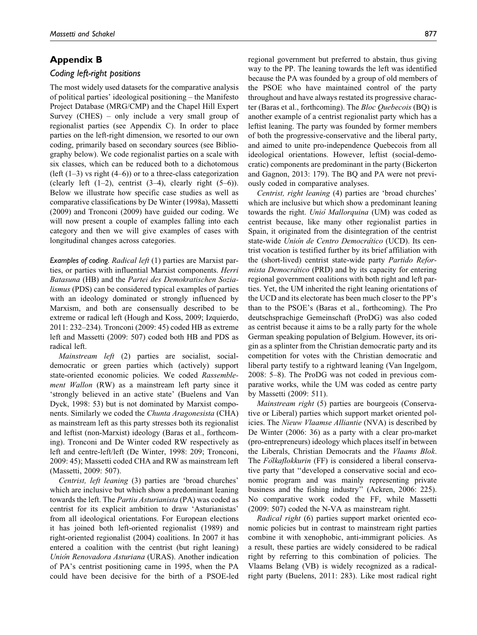#### Appendix B

#### Coding left-right positions

The most widely used datasets for the comparative analysis of political parties' ideological positioning – the Manifesto Project Database (MRG/CMP) and the Chapel Hill Expert Survey (CHES) – only include a very small group of regionalist parties (see Appendix C). In order to place parties on the left-right dimension, we resorted to our own coding, primarily based on secondary sources (see Bibliography below). We code regionalist parties on a scale with six classes, which can be reduced both to a dichotomous (left  $(1-3)$ ) vs right  $(4-6)$ ) or to a three-class categorization (clearly left  $(1-2)$ , centrist  $(3-4)$ , clearly right  $(5-6)$ ). Below we illustrate how specific case studies as well as comparative classifications by De Winter (1998a), Massetti (2009) and Tronconi (2009) have guided our coding. We will now present a couple of examples falling into each category and then we will give examples of cases with longitudinal changes across categories.

Examples of coding. Radical left (1) parties are Marxist parties, or parties with influential Marxist components. Herri Batasuna (HB) and the Partei des Demokratischen Sozialismus (PDS) can be considered typical examples of parties with an ideology dominated or strongly influenced by Marxism, and both are consensually described to be extreme or radical left (Hough and Koss, 2009; Izquierdo, 2011: 232–234). Tronconi (2009: 45) coded HB as extreme left and Massetti (2009: 507) coded both HB and PDS as radical left.

Mainstream left (2) parties are socialist, socialdemocratic or green parties which (actively) support state-oriented economic policies. We coded Rassemblement Wallon (RW) as a mainstream left party since it 'strongly believed in an active state' (Buelens and Van Dyck, 1998: 53) but is not dominated by Marxist components. Similarly we coded the Chunta Aragonesista (CHA) as mainstream left as this party stresses both its regionalist and leftist (non-Marxist) ideology (Baras et al., forthcoming). Tronconi and De Winter coded RW respectively as left and centre-left/left (De Winter, 1998: 209; Tronconi, 2009: 45); Massetti coded CHA and RW as mainstream left (Massetti, 2009: 507).

Centrist, left leaning (3) parties are 'broad churches' which are inclusive but which show a predominant leaning towards the left. The Partiu Asturianista (PA) was coded as centrist for its explicit ambition to draw 'Asturianistas' from all ideological orientations. For European elections it has joined both left-oriented regionalist (1989) and right-oriented regionalist (2004) coalitions. In 2007 it has entered a coalition with the centrist (but right leaning) Unio´n Renovadora Asturiana (URAS). Another indication of PA's centrist positioning came in 1995, when the PA could have been decisive for the birth of a PSOE-led

regional government but preferred to abstain, thus giving way to the PP. The leaning towards the left was identified because the PA was founded by a group of old members of the PSOE who have maintained control of the party throughout and have always restated its progressive character (Baras et al., forthcoming). The Bloc Quebecois (BQ) is another example of a centrist regionalist party which has a leftist leaning. The party was founded by former members of both the progressive-conservative and the liberal party, and aimed to unite pro-independence Quebecois from all ideological orientations. However, leftist (social-democratic) components are predominant in the party (Bickerton and Gagnon, 2013: 179). The BQ and PA were not previously coded in comparative analyses.

Centrist, right leaning (4) parties are 'broad churches' which are inclusive but which show a predominant leaning towards the right. Unio' Mallorquina (UM) was coded as centrist because, like many other regionalist parties in Spain, it originated from the disintegration of the centrist state-wide Union de Centro Democratico (UCD). Its centrist vocation is testified further by its brief affiliation with the (short-lived) centrist state-wide party Partido Reformista Democrático (PRD) and by its capacity for entering regional government coalitions with both right and left parties. Yet, the UM inherited the right leaning orientations of the UCD and its electorate has been much closer to the PP's than to the PSOE's (Baras et al., forthcoming). The Pro deutschsprachige Gemeinschaft (ProDG) was also coded as centrist because it aims to be a rally party for the whole German speaking population of Belgium. However, its origin as a splinter from the Christian democratic party and its competition for votes with the Christian democratic and liberal party testify to a rightward leaning (Van Ingelgom, 2008: 5–8). The ProDG was not coded in previous comparative works, while the UM was coded as centre party by Massetti (2009: 511).

Mainstream right (5) parties are bourgeois (Conservative or Liberal) parties which support market oriented policies. The Nieuw Vlaamse Alliantie (NVA) is described by De Winter (2006: 36) as a party with a clear pro-market (pro-entrepreneurs) ideology which places itself in between the Liberals, Christian Democrats and the Vlaams Blok. The Folkaflokkurin (FF) is considered a liberal conservative party that ''developed a conservative social and economic program and was mainly representing private business and the fishing industry'' (Ackren, 2006: 225). No comparative work coded the FF, while Massetti (2009: 507) coded the N-VA as mainstream right.

Radical right (6) parties support market oriented economic policies but in contrast to mainstream right parties combine it with xenophobic, anti-immigrant policies. As a result, these parties are widely considered to be radical right by referring to this combination of policies. The Vlaams Belang (VB) is widely recognized as a radicalright party (Buelens, 2011: 283). Like most radical right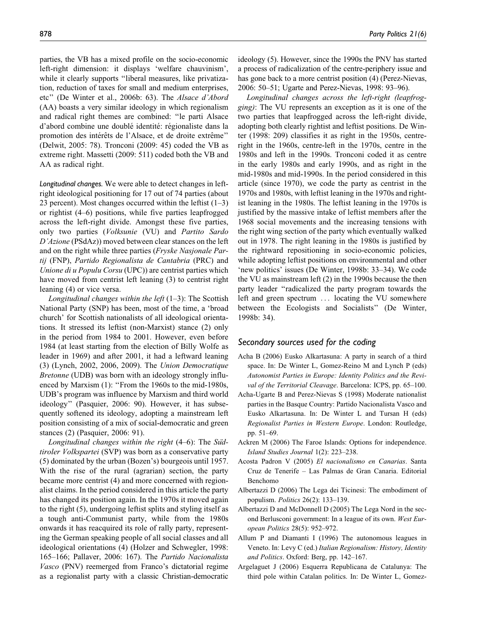parties, the VB has a mixed profile on the socio-economic left-right dimension: it displays 'welfare chauvinism', while it clearly supports "liberal measures, like privatization, reduction of taxes for small and medium enterprises, etc'' (De Winter et al., 2006b: 63). The Alsace d'Abord (AA) boasts a very similar ideology in which regionalism and radical right themes are combined: ''le parti Alsace d'abord combine une doublé identité: régionaliste dans la promotion des intérêts de l'Alsace, et de droite extrême'' (Delwit, 2005: 78). Tronconi (2009: 45) coded the VB as extreme right. Massetti (2009: 511) coded both the VB and AA as radical right.

Longitudinal changes. We were able to detect changes in leftright ideological positioning for 17 out of 74 parties (about 23 percent). Most changes occurred within the leftist  $(1-3)$ or rightist (4–6) positions, while five parties leapfrogged across the left-right divide. Amongst these five parties, only two parties (Volksunie (VU) and Partito Sardo D'Azione (PSdAz)) moved between clear stances on the left and on the right while three parties (Fryske Nasjonale Partij (FNP), Partido Regionalista de Cantabria (PRC) and Unione di u Populu Corsu (UPC)) are centrist parties which have moved from centrist left leaning (3) to centrist right leaning (4) or vice versa.

Longitudinal changes within the left  $(1-3)$ : The Scottish National Party (SNP) has been, most of the time, a 'broad church' for Scottish nationalists of all ideological orientations. It stressed its leftist (non-Marxist) stance (2) only in the period from 1984 to 2001. However, even before 1984 (at least starting from the election of Billy Wolfe as leader in 1969) and after 2001, it had a leftward leaning (3) (Lynch, 2002, 2006, 2009). The Union Democratique Bretonne (UDB) was born with an ideology strongly influenced by Marxism (1): "From the 1960s to the mid-1980s, UDB's program was influence by Marxism and third world ideology'' (Pasquier, 2006: 90). However, it has subsequently softened its ideology, adopting a mainstream left position consisting of a mix of social-democratic and green stances (2) (Pasquier, 2006: 91).

Longitudinal changes within the right  $(4-6)$ : The Sudtiroler Volkspartei (SVP) was born as a conservative party (5) dominated by the urban (Bozen's) bourgeois until 1957. With the rise of the rural (agrarian) section, the party became more centrist (4) and more concerned with regionalist claims. In the period considered in this article the party has changed its position again. In the 1970s it moved again to the right (5), undergoing leftist splits and styling itself as a tough anti-Communist party, while from the 1980s onwards it has reacquired its role of rally party, representing the German speaking people of all social classes and all ideological orientations (4) (Holzer and Schwegler, 1998: 165–166; Pallaver, 2006: 167). The Partido Nacionalista Vasco (PNV) reemerged from Franco's dictatorial regime as a regionalist party with a classic Christian-democratic ideology (5). However, since the 1990s the PNV has started a process of radicalization of the centre-periphery issue and has gone back to a more centrist position (4) (Perez-Nievas, 2006: 50–51; Ugarte and Perez-Nievas, 1998: 93–96).

Longitudinal changes across the left-right (leapfrogging): The VU represents an exception as it is one of the two parties that leapfrogged across the left-right divide, adopting both clearly rightist and leftist positions. De Winter (1998: 209) classifies it as right in the 1950s, centreright in the 1960s, centre-left in the 1970s, centre in the 1980s and left in the 1990s. Tronconi coded it as centre in the early 1980s and early 1990s, and as right in the mid-1980s and mid-1990s. In the period considered in this article (since 1970), we code the party as centrist in the 1970s and 1980s, with leftist leaning in the 1970s and rightist leaning in the 1980s. The leftist leaning in the 1970s is justified by the massive intake of leftist members after the 1968 social movements and the increasing tensions with the right wing section of the party which eventually walked out in 1978. The right leaning in the 1980s is justified by the rightward repositioning in socio-economic policies, while adopting leftist positions on environmental and other 'new politics' issues (De Winter, 1998b: 33–34). We code the VU as mainstream left (2) in the 1990s because the then party leader ''radicalized the party program towards the left and green spectrum ... locating the VU somewhere between the Ecologists and Socialists'' (De Winter, 1998b: 34).

#### Secondary sources used for the coding

- Acha B (2006) Eusko Alkartasuna: A party in search of a third space. In: De Winter L, Gomez-Reino M and Lynch P (eds) Autonomist Parties in Europe: Identity Politics and the Revival of the Territorial Cleavage. Barcelona: ICPS, pp. 65–100.
- Acha-Ugarte B and Perez-Nievas S (1998) Moderate nationalist parties in the Basque Country: Partido Nacionalista Vasco and Eusko Alkartasuna. In: De Winter L and Tursan H (eds) Regionalist Parties in Western Europe. London: Routledge, pp. 51–69.
- Ackren M (2006) The Faroe Islands: Options for independence. Island Studies Journal 1(2): 223–238.
- Acosta Padron V (2005) El nacionalismo en Canarias. Santa Cruz de Tenerife – Las Palmas de Gran Canaria. Editorial Benchomo
- Albertazzi D (2006) The Lega dei Ticinesi: The embodiment of populism. Politics 26(2): 133–139.
- Albertazzi D and McDonnell D (2005) The Lega Nord in the second Berlusconi government: In a league of its own. West European Politics 28(5): 952–972.
- Allum P and Diamanti I (1996) The autonomous leagues in Veneto. In: Levy C (ed.) Italian Regionalism: History, Identity and Politics. Oxford: Berg, pp. 142–167.
- Argelaguet J (2006) Esquerra Republicana de Catalunya: The third pole within Catalan politics. In: De Winter L, Gomez-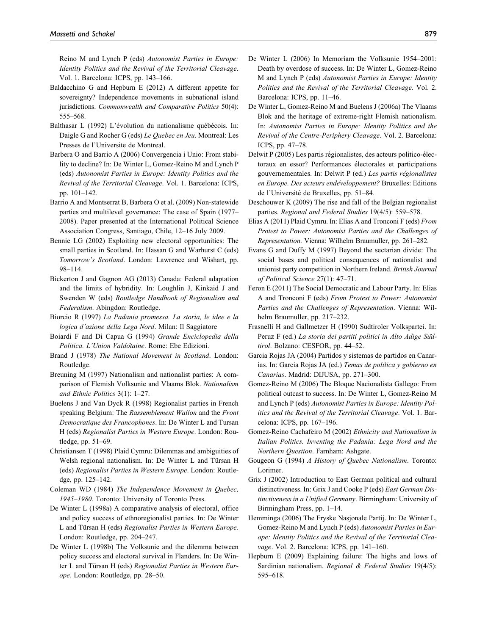Reino M and Lynch P (eds) Autonomist Parties in Europe: Identity Politics and the Revival of the Territorial Cleavage. Vol. 1. Barcelona: ICPS, pp. 143–166.

- Baldacchino G and Hepburn E (2012) A different appetite for sovereignty? Independence movements in subnational island jurisdictions. Commonwealth and Comparative Politics 50(4): 555–568.
- Balthasar L (1992) L'évolution du nationalisme québécois. In: Daigle G and Rocher G (eds) Le Quebec en Jeu. Montreal: Les Presses de l'Universite de Montreal.
- Barbera O and Barrio A (2006) Convergencia i Unio: From stability to decline? In: De Winter L, Gomez-Reino M and Lynch P (eds) Autonomist Parties in Europe: Identity Politics and the Revival of the Territorial Cleavage. Vol. 1. Barcelona: ICPS, pp. 101–142.
- Barrio A and Montserrat B, Barbera O et al. (2009) Non-statewide parties and multilevel governance: The case of Spain (1977– 2008). Paper presented at the International Political Science Association Congress, Santiago, Chile, 12–16 July 2009.
- Bennie LG (2002) Exploiting new electoral opportunities: The small parties in Scotland. In: Hassan G and Warhurst C (eds) Tomorrow's Scotland. London: Lawrence and Wishart, pp. 98–114.
- Bickerton J and Gagnon AG (2013) Canada: Federal adaptation and the limits of hybridity. In: Loughlin J, Kinkaid J and Swenden W (eds) Routledge Handbook of Regionalism and Federalism. Abingdon: Routledge.
- Biorcio R (1997) La Padania promessa. La storia, le idee e la logica d'azione della Lega Nord. Milan: Il Saggiatore
- Boiardi F and Di Capua G (1994) Grande Enciclopedia della Politica. L'Union Valdótaine. Rome: Ebe Edizioni.
- Brand J (1978) The National Movement in Scotland. London: Routledge.
- Breuning M (1997) Nationalism and nationalist parties: A comparison of Flemish Volksunie and Vlaams Blok. Nationalism and Ethnic Politics 3(1): 1–27.
- Buelens J and Van Dyck R (1998) Regionalist parties in French speaking Belgium: The Rassemblement Wallon and the Front Democratique des Francophones. In: De Winter L and Tursan H (eds) Regionalist Parties in Western Europe. London: Routledge, pp. 51–69.
- Christiansen T (1998) Plaid Cymru: Dilemmas and ambiguities of Welsh regional nationalism. In: De Winter L and Türsan H (eds) Regionalist Parties in Western Europe. London: Routledge, pp. 125–142.
- Coleman WD (1984) The Independence Movement in Quebec, 1945–1980. Toronto: University of Toronto Press.
- De Winter L (1998a) A comparative analysis of electoral, office and policy success of ethnoregionalist parties. In: De Winter L and Türsan H (eds) Regionalist Parties in Western Europe. London: Routledge, pp. 204–247.
- De Winter L (1998b) The Volksunie and the dilemma between policy success and electoral survival in Flanders. In: De Winter L and Türsan H (eds) Regionalist Parties in Western Europe. London: Routledge, pp. 28–50.
- De Winter L (2006) In Memoriam the Volksunie 1954–2001: Death by overdose of success. In: De Winter L, Gomez-Reino M and Lynch P (eds) Autonomist Parties in Europe: Identity Politics and the Revival of the Territorial Cleavage. Vol. 2. Barcelona: ICPS, pp. 11–46.
- De Winter L, Gomez-Reino M and Buelens J (2006a) The Vlaams Blok and the heritage of extreme-right Flemish nationalism. In: Autonomist Parties in Europe: Identity Politics and the Revival of the Centre-Periphery Cleavage. Vol. 2. Barcelona: ICPS, pp. 47–78.
- Delwit P (2005) Les partis régionalistes, des acteurs politico-électoraux en essor? Performances électorales et participations gouvernementales. In: Delwit P (ed.) Les partis régionalistes en Europe. Des acteurs ende´veloppement? Bruxelles: Editions de l'Université de Bruxelles, pp. 51–84.
- Deschouwer K (2009) The rise and fall of the Belgian regionalist parties. Regional and Federal Studies 19(4/5): 559–578.
- Elias A (2011) Plaid Cymru. In: Elias A and Tronconi F (eds) From Protest to Power: Autonomist Parties and the Challenges of Representation. Vienna: Wilhelm Braumuller, pp. 261–282.
- Evans G and Duffy M (1997) Beyond the sectarian divide: The social bases and political consequences of nationalist and unionist party competition in Northern Ireland. British Journal of Political Science 27(1): 47–71.
- Feron E (2011) The Social Democratic and Labour Party. In: Elias A and Tronconi F (eds) From Protest to Power: Autonomist Parties and the Challenges of Representation. Vienna: Wilhelm Braumuller, pp. 217–232.
- Frasnelli H and Gallmetzer H (1990) Sudtiroler Volkspartei. In: Peruz F (ed.) La storia dei partiti politici in Alto Adige Sudtirol. Bolzano: CESFOR, pp. 44–52.
- Garcia Rojas JA (2004) Partidos y sistemas de partidos en Canarias. In: Garcia Rojas JA (ed.) Temas de política y gobierno en Canarias. Madrid: DIJUSA, pp. 271–300.
- Gomez-Reino M (2006) The Bloque Nacionalista Gallego: From political outcast to success. In: De Winter L, Gomez-Reino M and Lynch P (eds) Autonomist Parties in Europe: Identity Politics and the Revival of the Territorial Cleavage. Vol. 1. Barcelona: ICPS, pp. 167–196.
- Gomez-Reino Cachafeiro M (2002) Ethnicity and Nationalism in Italian Politics. Inventing the Padania: Lega Nord and the Northern Question. Farnham: Ashgate.
- Gougeon G (1994) A History of Quebec Nationalism. Toronto: Lorimer.
- Grix J (2002) Introduction to East German political and cultural distinctiveness. In: Grix J and Cooke P (eds) East German Distinctiveness in a Unified Germany. Birmingham: University of Birmingham Press, pp. 1–14.
- Hemminga (2006) The Fryske Nasjonale Partij. In: De Winter L, Gomez-Reino M and Lynch P (eds) Autonomist Parties in Europe: Identity Politics and the Revival of the Territorial Cleavage. Vol. 2. Barcelona: ICPS, pp. 141–160.
- Hepburn E (2009) Explaining failure: The highs and lows of Sardinian nationalism. Regional & Federal Studies 19(4/5): 595–618.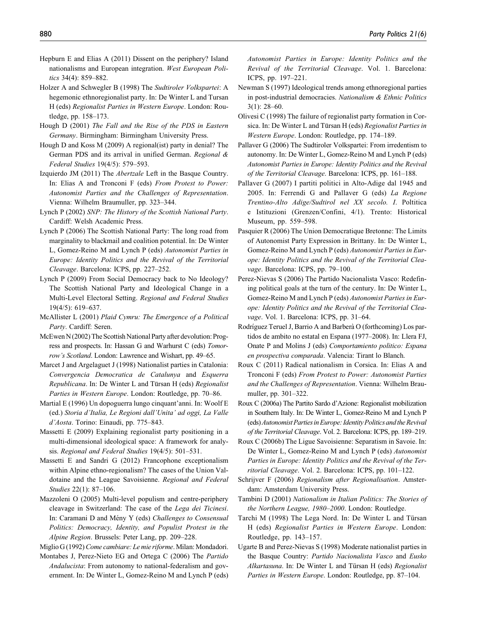- Hepburn E and Elias A (2011) Dissent on the periphery? Island nationalisms and European integration. West European Politics 34(4): 859–882.
- Holzer A and Schwegler B (1998) The Sudtiroler Volkspartei: A hegemonic ethnoregionalist party. In: De Winter L and Tursan H (eds) Regionalist Parties in Western Europe. London: Routledge, pp. 158–173.
- Hough D (2001) The Fall and the Rise of the PDS in Eastern Germany. Birmingham: Birmingham University Press.
- Hough D and Koss M (2009) A regional(ist) party in denial? The German PDS and its arrival in unified German. Regional & Federal Studies 19(4/5): 579–593.
- Izquierdo JM (2011) The Abertzale Left in the Basque Country. In: Elias A and Tronconi F (eds) From Protest to Power: Autonomist Parties and the Challenges of Representation. Vienna: Wilhelm Braumuller, pp. 323–344.
- Lynch P (2002) SNP: The History of the Scottish National Party. Cardiff: Welsh Academic Press.
- Lynch P (2006) The Scottish National Party: The long road from marginality to blackmail and coalition potential. In: De Winter L, Gomez-Reino M and Lynch P (eds) Autonomist Parties in Europe: Identity Politics and the Revival of the Territorial Cleavage. Barcelona: ICPS, pp. 227–252.
- Lynch P (2009) From Social Democracy back to No Ideology? The Scottish National Party and Ideological Change in a Multi-Level Electoral Setting. Regional and Federal Studies 19(4/5): 619–637.
- McAllister L (2001) Plaid Cymru: The Emergence of a Political Party. Cardiff: Seren.
- McEwen N (2002) The Scottish National Party after devolution: Progress and prospects. In: Hassan G and Warhurst C (eds) Tomorrow's Scotland. London: Lawrence and Wishart, pp. 49–65.
- Marcet J and Argelaguet J (1998) Nationalist parties in Catalonia: Convergencia Democratica de Catalunya and Esquerra Republicana. In: De Winter L and Türsan H (eds) Regionalist Parties in Western Europe. London: Routledge, pp. 70–86.
- Martial E (1996) Un dopoguerra lungo cinquant'anni. In: Woolf E (ed.) Storia d'Italia, Le Regioni dall'Unita' ad oggi, La Valle d'Aosta. Torino: Einaudi, pp. 775–843.
- Massetti E (2009) Explaining regionalist party positioning in a multi-dimensional ideological space: A framework for analysis. Regional and Federal Studies 19(4/5): 501–531.
- Massetti E and Sandri G (2012) Francophone exceptionalism within Alpine ethno-regionalism? The cases of the Union Valdotaine and the League Savoisienne. Regional and Federal Studies 22(1): 87–106.
- Mazzoleni O (2005) Multi-level populism and centre-periphery cleavage in Switzerland: The case of the Lega dei Ticinesi. In: Caramani D and Mény Y (eds) Challenges to Consensual Politics: Democracy, Identity, and Populist Protest in the Alpine Region. Brussels: Peter Lang, pp. 209–228.

Miglio G (1992) Come cambiare: Le mie riforme. Milan: Mondadori.

Montabes J, Perez-Nieto EG and Ortega C (2006) The Partido Andalucista: From autonomy to national-federalism and government. In: De Winter L, Gomez-Reino M and Lynch P (eds) Autonomist Parties in Europe: Identity Politics and the Revival of the Territorial Cleavage. Vol. 1. Barcelona: ICPS, pp. 197–221.

- Newman S (1997) Ideological trends among ethnoregional parties in post-industrial democracies. Nationalism & Ethnic Politics 3(1): 28–60.
- Olivesi C (1998) The failure of regionalist party formation in Corsica. In: De Winter L and Türsan H (eds) Regionalist Parties in Western Europe. London: Routledge, pp. 174–189.
- Pallaver G (2006) The Sudtiroler Volkspartei: From irredentism to autonomy. In: De Winter L, Gomez-Reino M and Lynch P (eds) Autonomist Parties in Europe: Identity Politics and the Revival of the Territorial Cleavage. Barcelona: ICPS, pp. 161–188.
- Pallaver G (2007) I partiti politici in Alto-Adige dal 1945 and 2005. In: Ferrendi G and Pallaver G (eds) La Regione Trentino-Alto Adige/Sudtirol nel XX secolo. I. Poltitica e Istituzioni (Grenzen/Confini, 4/1). Trento: Historical Museum, pp. 559–598.
- Pasquier R (2006) The Union Democratique Bretonne: The Limits of Autonomist Party Expression in Brittany. In: De Winter L, Gomez-Reino M and Lynch P (eds) Autonomist Parties in Europe: Identity Politics and the Revival of the Territorial Cleavage. Barcelona: ICPS, pp. 79–100.
- Perez-Nievas S (2006) The Partido Nacionalista Vasco: Redefining political goals at the turn of the century. In: De Winter L, Gomez-Reino M and Lynch P (eds) Autonomist Parties in Europe: Identity Politics and the Revival of the Territorial Cleavage. Vol. 1. Barcelona: ICPS, pp. 31–64.
- Rodríguez Teruel J, Barrio A and Barberà O (forthcoming) Los partidos de ambito no estatal en Espana (1977–2008). In: Llera FJ, Onate P and Molins J (eds) Comportamiento politico: Espana en prospectiva comparada. Valencia: Tirant lo Blanch.
- Roux C (2011) Radical nationalism in Corsica. In: Elias A and Tronconi F (eds) From Protest to Power: Autonomist Parties and the Challenges of Representation. Vienna: Wilhelm Braumuller, pp. 301–322.
- Roux C (2006a) The Partito Sardo d'Azione: Regionalist mobilization in Southern Italy. In: De Winter L, Gomez-Reino M and Lynch P (eds) Autonomist Parties in Europe: Identity Politics and the Revival of the Territorial Cleavage. Vol. 2. Barcelona: ICPS, pp. 189–219.
- Roux C (2006b) The Ligue Savoisienne: Separatism in Savoie. In: De Winter L, Gomez-Reino M and Lynch P (eds) Autonomist Parties in Europe: Identity Politics and the Revival of the Territorial Cleavage. Vol. 2. Barcelona: ICPS, pp. 101–122.
- Schrijver F (2006) Regionalism after Regionalisation. Amsterdam: Amsterdam University Press.
- Tambini D (2001) Nationalism in Italian Politics: The Stories of the Northern League, 1980–2000. London: Routledge.
- Tarchi M (1998) The Lega Nord. In: De Winter L and Türsan H (eds) Regionalist Parties in Western Europe. London: Routledge, pp. 143–157.
- Ugarte B and Perez-Nievas S (1998) Moderate nationalist parties in the Basque Country: Partido Nacionalista Vasco and Eusko Alkartasuna. In: De Winter L and Türsan H (eds) Regionalist Parties in Western Europe. London: Routledge, pp. 87–104.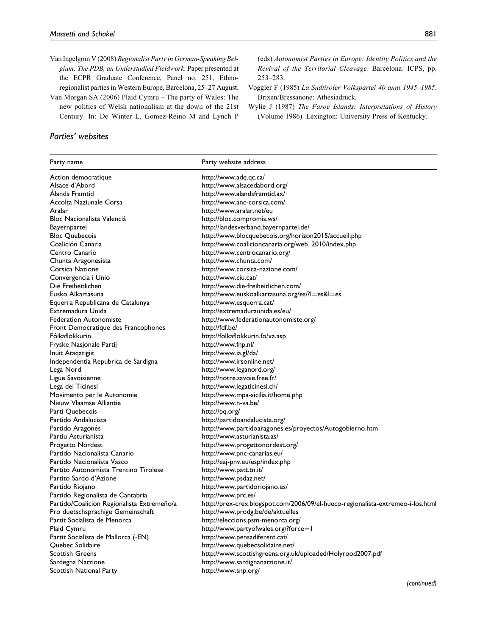Van Morgan SA (2006) Plaid Cymru – The party of Wales: The new politics of Welsh nationalism at the down of the 21st Century. In: De Winter L, Gomez-Reino M and Lynch P

#### (eds) Autonomist Parties in Europe: Identity Politics and the Revival of the Territorial Cleavage. Barcelona: ICPS, pp. 253–283.

Voggler F (1985) La Sudtiroler Volkspartei 40 anni 1945–1985. Brixen/Bressanone: Athesiadruck.

Wylie J (1987) The Faroe Islands: Interpretations of History (Volume 1986). Lexington: University Press of Kentucky.

#### Parties' websites

| Party name                                 | Party website address                                                           |
|--------------------------------------------|---------------------------------------------------------------------------------|
| Action democratique                        | http://www.adq.qc.ca/                                                           |
| Alsace d'Abord                             | http://www.alsacedabord.org/                                                    |
| Alands Framtid                             | http://www.alandsframtid.ax/                                                    |
| Accolta Naziunale Corsa                    | http://www.anc-corsica.com/                                                     |
| Aralar                                     | http://www.aralar.net/eu                                                        |
| Bloc Nacionalista Valencià                 | http://bloc.compromis.ws/                                                       |
| Bayernpartei                               | http://landesverband.bayernpartei.de/                                           |
| <b>Bloc Quebecois</b>                      | http://www.blocquebecois.org/horizon2015/accueil.php                            |
| Coalición Canaria                          | http://www.coalicioncanaria.org/web_2010/index.php                              |
| Centro Canario                             | http://www.centrocanario.org/                                                   |
| Chunta Aragonesista                        | http://www.chunta.com/                                                          |
| Corsica Nazione                            | http://www.corsica-nazione.com/                                                 |
| Convergencia i Unió                        | http://www.ciu.cat/                                                             |
| Die Freiheitlichen                         | http://www.die-freiheitlichen.com/                                              |
| Eusko Alkartasuna                          | http://www.euskoalkartasuna.org/es/?l=es&l=es                                   |
| Equerra Republicana de Catalunya           | http://www.esquerra.cat/                                                        |
| Extremadura Unida                          | http://extremaduraunida.es/eu/                                                  |
| Fédération Autonomiste                     | http://www.federationautonomiste.org/                                           |
| Front Democratique des Francophones        | http://fdf.be/                                                                  |
| Fólkaflokkurin                             | http://folkaflokkurin.fo/xa.asp                                                 |
| Fryske Nasjonale Partij                    | http://www.fnp.nl/                                                              |
| Inuit Ataqatigiit                          | http://www.ia.gl/da/                                                            |
| Independentia Repubrica de Sardigna        | http://www.irsonline.net/                                                       |
| Lega Nord                                  | http://www.leganord.org/                                                        |
| Ligue Savoisienne                          | http://notre.savoie.free.fr/                                                    |
| Lega dei Ticinesi                          | http://www.legaticinesi.ch/                                                     |
| Movimento per le Autonomie                 | http://www.mpa-sicilia.it/home.php                                              |
| Nieuw Vlaamse Alliantie                    | http://www.n-va.be/                                                             |
| Parti Quebecois                            | http://pq.org/                                                                  |
| Partido Andalucista                        | http://partidoandalucista.org/                                                  |
| Partido Aragonés                           | http://www.partidoaragones.es/proyectos/Autogobierno.htm                        |
| Partiu Asturianista                        | http://www.asturianista.as/                                                     |
| Progetto Nordest                           | http://www.progettonordest.org/                                                 |
| Partido Nacionalista Canario               | http://www.pnc-canarias.eu/                                                     |
| Partido Nacionalista Vasco                 | http://eaj-pnv.eu/esp/index.php                                                 |
| Partito Autonomista Trentino Tirolese      | http://www.patt.tn.it/                                                          |
| Partito Sardo d'Azione                     | http://www.psdaz.net/                                                           |
| Partido Riojano                            | http://www.partidoriojano.es/                                                   |
| Partido Regionalista de Cantabria          | http://www.prc.es/                                                              |
| Partido/Coalicion Regionalista Extremeño/a | http://prex-crex.blogspot.com/2006/09/el-hueco-regionalista-extremeo-i-los.html |
| Pro duetschsprachige Gemeinschaft          | http://www.prodg.be/de/aktuelles                                                |
| Partit Socialista de Menorca               | http://eleccions.psm-menorca.org/                                               |
| Plaid Cymru                                | http://www.partyofwales.org/?force=1                                            |
| Partit Socialista de Mallorca (-EN)        | http://www.pensadiferent.cat/                                                   |
| Quebec Solidaire                           | http://www.quebecsolidaire.net/                                                 |
| Scottish Greens                            | http://www.scottishgreens.org.uk/uploaded/Holyrood2007.pdf                      |
| Sardegna Natzione                          | http://www.sardignanatzione.it/                                                 |
| Scottish National Party                    | http://www.snp.org/                                                             |
|                                            |                                                                                 |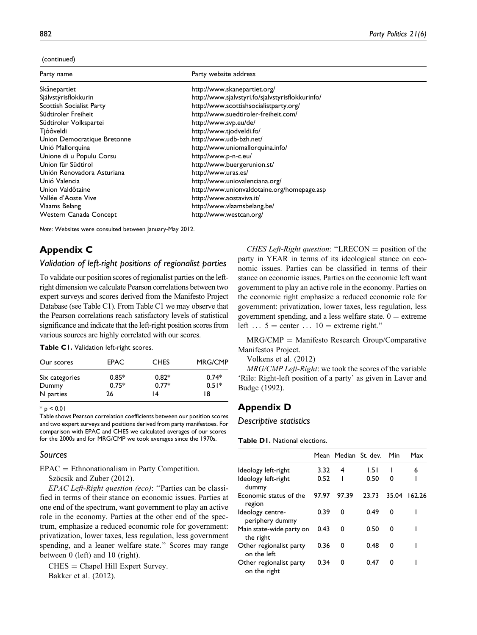#### (continued)

| Party name                  | Party website address                            |
|-----------------------------|--------------------------------------------------|
| Skånepartiet                | http://www.skanepartiet.org/                     |
| Sjálvstýrisflokkurin        | http://www.sjalvstyri.fo/sjalvstyrisflokkurinfo/ |
| Scottish Socialist Party    | http://www.scottishsocialistparty.org/           |
| Südtiroler Freiheit         | http://www.suedtiroler-freiheit.com/             |
| Südtiroler Volkspartei      | http://www.svp.eu/de/                            |
| Tjóôveldi                   | http://www.tjodveldi.fo/                         |
| Union Democratique Bretonne | http://www.udb-bzh.net/                          |
| Unió Mallorquina            | http://www.uniomallorquina.info/                 |
| Unione di u Populu Corsu    | http://www.p-n-c.eu/                             |
| Union für Südtirol          | http://www.buergerunion.st/                      |
| Unión Renovadora Asturiana  | http://www.uras.es/                              |
| Unió Valencia               | http://www.uniovalenciana.org/                   |
| Union Valdôtaine            | http://www.unionvaldotaine.org/homepage.asp      |
| Vallée d'Aoste Vive         | http://www.aostaviva.it/                         |
| Vlaams Belang               | http://www.vlaamsbelang.be/                      |
| Western Canada Concept      | http://www.westcan.org/                          |

Note: Websites were consulted between January-May 2012.

#### Appendix C

#### Validation of left-right positions of regionalist parties

To validate our position scores of regionalist parties on the leftright dimension we calculate Pearson correlations between two expert surveys and scores derived from the Manifesto Project Database (see Table C1). From Table C1 we may observe that the Pearson correlations reach satisfactory levels of statistical significance and indicate that the left-right position scores from various sources are highly correlated with our scores.

| Table CI. Validation left-right scores. |  |
|-----------------------------------------|--|
|-----------------------------------------|--|

| Our scores              | <b>EPAC</b>        | <b>CHES</b>        | <b>MRG/CMP</b>     |  |  |
|-------------------------|--------------------|--------------------|--------------------|--|--|
| Six categories<br>Dummy | $0.85*$<br>$0.75*$ | $0.82*$<br>$0.77*$ | $0.74*$<br>$0.51*$ |  |  |
| N parties               | 26                 | 14                 | 18                 |  |  |

 $*_{\text{p}}$  < 0.01

Table shows Pearson correlation coefficients between our position scores and two expert surveys and positions derived from party manifestoes. For comparison with EPAC and CHES we calculated averages of our scores for the 2000s and for MRG/CMP we took averages since the 1970s. **Table D1.** National elections.

#### Sources

 $EPAC = Ethnonationalism$  in Party Competition. Szöcsik and Zuber (2012).

EPAC Left-Right question (eco): ''Parties can be classified in terms of their stance on economic issues. Parties at one end of the spectrum, want government to play an active role in the economy. Parties at the other end of the spectrum, emphasize a reduced economic role for government: privatization, lower taxes, less regulation, less government spending, and a leaner welfare state.'' Scores may range between 0 (left) and 10 (right).

 $CHES = Chapter 1$  Hill Expert Survey. Bakker et al. (2012).

CHES Left-Right question: "LRECON = position of the party in YEAR in terms of its ideological stance on economic issues. Parties can be classified in terms of their stance on economic issues. Parties on the economic left want government to play an active role in the economy. Parties on the economic right emphasize a reduced economic role for government: privatization, lower taxes, less regulation, less government spending, and a less welfare state.  $0 =$  extreme left  $\ldots$  5 = center  $\ldots$  10 = extreme right."

 $MRG/CMP =$  Manifesto Research Group/Comparative Manifestos Project.

Volkens et al. (2012)

MRG/CMP Left-Right: we took the scores of the variable 'Rile: Right-left position of a party' as given in Laver and Budge (1992).

#### Appendix D

Descriptive statistics

|                                         |       |       | Mean Median St. dev. Min |       | Max    |
|-----------------------------------------|-------|-------|--------------------------|-------|--------|
| Ideology left-right                     | 3.32  | 4     | 1.51                     |       | 6      |
| Ideology left-right<br>dummy            | 0.52  |       | 0.50                     | O     |        |
| Economic status of the<br>region        | 97.97 | 97.39 | 23.73                    | 35.04 | 162.26 |
| Ideology centre-<br>periphery dummy     | 0.39  | O     | 0.49                     | 0     |        |
| Main state-wide party on<br>the right   | 0.43  | O     | 0.50                     | 0     |        |
| Other regionalist party<br>on the left  | 0.36  | 0     | 0.48                     | O     |        |
| Other regionalist party<br>on the right | 0.34  | O     | 0.47                     | o     |        |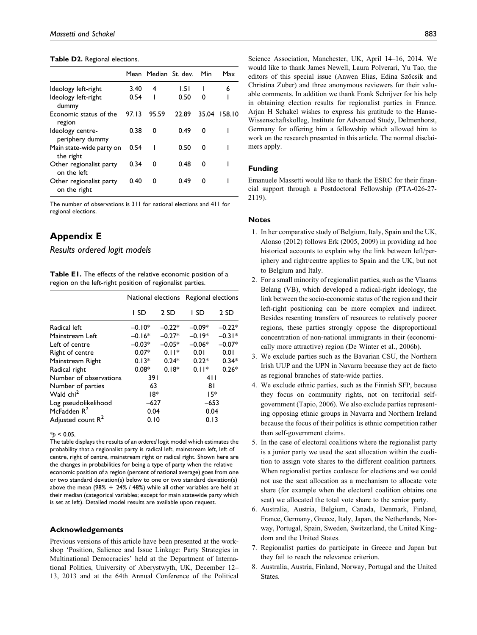#### Table D2. Regional elections.

|                                         |       |       | Mean Median St. dev. Min |       | Max    |
|-----------------------------------------|-------|-------|--------------------------|-------|--------|
| Ideology left-right                     | 3.40  | 4     | 1.51                     |       | 6      |
| Ideology left-right<br>dummy            | 0.54  |       | 0.50                     | ŋ     |        |
| Economic status of the<br>region        | 97.I3 | 95.59 | 22.89                    | 35.04 | 158.10 |
| Ideology centre-<br>periphery dummy     | 0.38  | 0     | 0.49                     | O     |        |
| Main state-wide party on<br>the right   | 0.54  |       | 0.50                     | O     |        |
| Other regionalist party<br>on the left  | 0.34  | O     | 0.48                     | O     |        |
| Other regionalist party<br>on the right | 0.40  | O     | 0.49                     | 0     |        |

The number of observations is 311 for national elections and 411 for regional elections.

#### Appendix E

#### Results ordered logit models

Table E1. The effects of the relative economic position of a region on the left-right position of regionalist parties.

|                        | National elections |          | Regional elections |          |
|------------------------|--------------------|----------|--------------------|----------|
|                        | I SD               | 2 SD     | I SD               | 2 SD     |
| Radical left           | $-0.10*$           | $-0.22*$ | $-0.09*$           | $-0.22*$ |
| Mainstream Left        | $-0.16*$           | $-0.27*$ | $-0.19*$           | $-0.31*$ |
| Left of centre         | $-0.03*$           | $-0.05*$ | $-0.06*$           | $-0.07*$ |
| Right of centre        | $0.07*$            | $0.11*$  | 0.01               | 0.01     |
| Mainstream Right       | $0.13*$            | $0.24*$  | $0.22*$            | $0.34*$  |
| Radical right          | $0.08*$            | $0.18*$  | $0.11*$            | $0.26*$  |
| Number of observations | 391                |          | 411                |          |
| Number of parties      | 63                 |          | 81                 |          |
| Wald chi <sup>2</sup>  | $18*$              |          | $15*$              |          |
| Log pseudolikelihood   | $-627$             |          | $-653$             |          |
| McFadden $R^2$         | 0.04               |          | 0.04               |          |
| Adjusted count $R^2$   | 0.10               |          | 0.13               |          |

 $*_{D}$  < 0.05.

The table displays the results of an ordered logit model which estimates the probability that a regionalist party is radical left, mainstream left, left of centre, right of centre, mainstream right or radical right. Shown here are the changes in probabilities for being a type of party when the relative economic position of a region (percent of national average) goes from one or two standard deviation(s) below to one or two standard deviation(s) above the mean (98%  $\pm$  24% / 48%) while all other variables are held at their median (categorical variables; except for main statewide party which is set at left). Detailed model results are available upon request.

#### Acknowledgements

Previous versions of this article have been presented at the workshop 'Position, Salience and Issue Linkage: Party Strategies in Multinational Democracies' held at the Department of International Politics, University of Aberystwyth, UK, December 12– 13, 2013 and at the 64th Annual Conference of the Political Science Association, Manchester, UK, April 14–16, 2014. We would like to thank James Newell, Laura Polverari, Yu Tao, the editors of this special issue (Anwen Elias, Edina Szöcsik and Christina Zuber) and three anonymous reviewers for their valuable comments. In addition we thank Frank Schrijver for his help in obtaining election results for regionalist parties in France. Arjan H Schakel wishes to express his gratitude to the Hanse-Wissenschaftskolleg, Institute for Advanced Study, Delmenhorst, Germany for offering him a fellowship which allowed him to work on the research presented in this article. The normal disclaimers apply.

#### Funding

Emanuele Massetti would like to thank the ESRC for their financial support through a Postdoctoral Fellowship (PTA-026-27- 2119).

#### Notes

- 1. In her comparative study of Belgium, Italy, Spain and the UK, Alonso (2012) follows Erk (2005, 2009) in providing ad hoc historical accounts to explain why the link between left/periphery and right/centre applies to Spain and the UK, but not to Belgium and Italy.
- 2. For a small minority of regionalist parties, such as the Vlaams Belang (VB), which developed a radical-right ideology, the link between the socio-economic status of the region and their left-right positioning can be more complex and indirect. Besides resenting transfers of resources to relatively poorer regions, these parties strongly oppose the disproportional concentration of non-national immigrants in their (economically more attractive) region (De Winter et al., 2006b).
- 3. We exclude parties such as the Bavarian CSU, the Northern Irish UUP and the UPN in Navarra because they act de facto as regional branches of state-wide parties.
- 4. We exclude ethnic parties, such as the Finnish SFP, because they focus on community rights, not on territorial selfgovernment (Tapio, 2006). We also exclude parties representing opposing ethnic groups in Navarra and Northern Ireland because the focus of their politics is ethnic competition rather than self-government claims.
- 5. In the case of electoral coalitions where the regionalist party is a junior party we used the seat allocation within the coalition to assign vote shares to the different coalition partners. When regionalist parties coalesce for elections and we could not use the seat allocation as a mechanism to allocate vote share (for example when the electoral coalition obtains one seat) we allocated the total vote share to the senior party.
- 6. Australia, Austria, Belgium, Canada, Denmark, Finland, France, Germany, Greece, Italy, Japan, the Netherlands, Norway, Portugal, Spain, Sweden, Switzerland, the United Kingdom and the United States.
- 7. Regionalist parties do participate in Greece and Japan but they fail to reach the relevance criterion.
- 8. Australia, Austria, Finland, Norway, Portugal and the United States.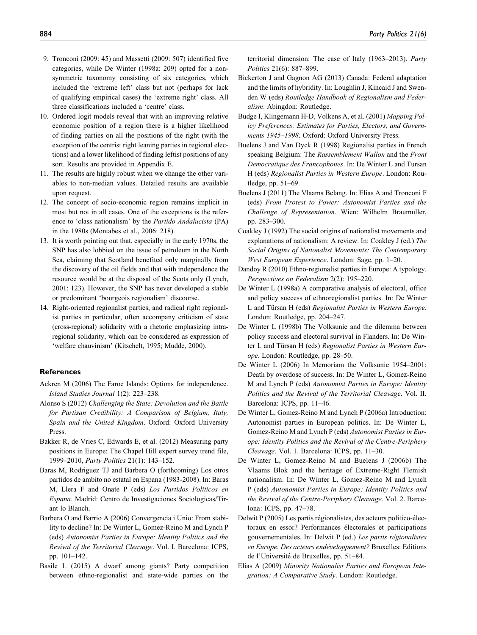- 9. Tronconi (2009: 45) and Massetti (2009: 507) identified five categories, while De Winter (1998a: 209) opted for a nonsymmetric taxonomy consisting of six categories, which included the 'extreme left' class but not (perhaps for lack of qualifying empirical cases) the 'extreme right' class. All three classifications included a 'centre' class.
- 10. Ordered logit models reveal that with an improving relative economic position of a region there is a higher likelihood of finding parties on all the positions of the right (with the exception of the centrist right leaning parties in regional elections) and a lower likelihood of finding leftist positions of any sort. Results are provided in Appendix E.
- 11. The results are highly robust when we change the other variables to non-median values. Detailed results are available upon request.
- 12. The concept of socio-economic region remains implicit in most but not in all cases. One of the exceptions is the reference to 'class nationalism' by the Partido Andalucista (PA) in the 1980s (Montabes et al., 2006: 218).
- 13. It is worth pointing out that, especially in the early 1970s, the SNP has also lobbied on the issue of petroleum in the North Sea, claiming that Scotland benefited only marginally from the discovery of the oil fields and that with independence the resource would be at the disposal of the Scots only (Lynch, 2001: 123). However, the SNP has never developed a stable or predominant 'bourgeois regionalism' discourse.
- 14. Right-oriented regionalist parties, and radical right regionalist parties in particular, often accompany criticism of state (cross-regional) solidarity with a rhetoric emphasizing intraregional solidarity, which can be considered as expression of 'welfare chauvinism' (Kitschelt, 1995; Mudde, 2000).

#### **References**

- Ackren M (2006) The Faroe Islands: Options for independence. Island Studies Journal 1(2): 223–238.
- Alonso S (2012) Challenging the State: Devolution and the Battle for Partisan Credibility: A Comparison of Belgium, Italy, Spain and the United Kingdom. Oxford: Oxford University Press.
- Bakker R, de Vries C, Edwards E, et al. (2012) Measuring party positions in Europe: The Chapel Hill expert survey trend file, 1999–2010, Party Politics 21(1): 143–152.
- Baras M, Rodriguez TJ and Barbera O (forthcoming) Los otros partidos de ambito no estatal en Espana (1983-2008). In: Baras M, Llera F and Onate P (eds) Los Partidos Politicos en Espana. Madrid: Centro de Investigaciones Sociologicas/Tirant lo Blanch.
- Barbera O and Barrio A (2006) Convergencia i Unio: From stability to decline? In: De Winter L, Gomez-Reino M and Lynch P (eds) Autonomist Parties in Europe: Identity Politics and the Revival of the Territorial Cleavage. Vol. I. Barcelona: ICPS, pp. 101–142.
- Basile L (2015) A dwarf among giants? Party competition between ethno-regionalist and state-wide parties on the

territorial dimension: The case of Italy (1963–2013). Party Politics 21(6): 887–899.

- Bickerton J and Gagnon AG (2013) Canada: Federal adaptation and the limits of hybridity. In: Loughlin J, Kincaid J and Swenden W (eds) Routledge Handbook of Regionalism and Federalism. Abingdon: Routledge.
- Budge I, Klingemann H-D, Volkens A, et al. (2001) Mapping Policy Preferences: Estimates for Parties, Electors, and Governments 1945–1998. Oxford: Oxford University Press.
- Buelens J and Van Dyck R (1998) Regionalist parties in French speaking Belgium: The Rassemblement Wallon and the Front Democratique des Francophones. In: De Winter L and Tursan H (eds) Regionalist Parties in Western Europe. London: Routledge, pp. 51–69.
- Buelens J (2011) The Vlaams Belang. In: Elias A and Tronconi F (eds) From Protest to Power: Autonomist Parties and the Challenge of Representation. Wien: Wilhelm Braumuller, pp. 283–300.
- Coakley J (1992) The social origins of nationalist movements and explanations of nationalism: A review. In: Coakley J (ed.) The Social Origins of Nationalist Movements: The Contemporary West European Experience. London: Sage, pp. 1–20.
- Dandoy R (2010) Ethno-regionalist parties in Europe: A typology. Perspectives on Federalism 2(2): 195–220.
- De Winter L (1998a) A comparative analysis of electoral, office and policy success of ethnoregionalist parties. In: De Winter L and Türsan H (eds) Regionalist Parties in Western Europe. London: Routledge, pp. 204–247.
- De Winter L (1998b) The Volksunie and the dilemma between policy success and electoral survival in Flanders. In: De Winter L and Türsan H (eds) Regionalist Parties in Western Europe. London: Routledge, pp. 28–50.
- De Winter L (2006) In Memoriam the Volksunie 1954–2001: Death by overdose of success. In: De Winter L, Gomez-Reino M and Lynch P (eds) Autonomist Parties in Europe: Identity Politics and the Revival of the Territorial Cleavage. Vol. II. Barcelona: ICPS, pp. 11–46.
- De Winter L, Gomez-Reino M and Lynch P (2006a) Introduction: Autonomist parties in European politics. In: De Winter L, Gomez-Reino M and Lynch P (eds) Autonomist Parties in Europe: Identity Politics and the Revival of the Centre-Periphery Cleavage. Vol. 1. Barcelona: ICPS, pp. 11–30.
- De Winter L, Gomez-Reino M and Buelens J (2006b) The Vlaams Blok and the heritage of Extreme-Right Flemish nationalism. In: De Winter L, Gomez-Reino M and Lynch P (eds) Autonomist Parties in Europe: Identity Politics and the Revival of the Centre-Periphery Cleavage. Vol. 2. Barcelona: ICPS, pp. 47–78.
- Delwit P (2005) Les partis régionalistes, des acteurs politico-électoraux en essor? Performances électorales et participations gouvernementales. In: Delwit P (ed.) Les partis régionalistes en Europe. Des acteurs ende´veloppement? Bruxelles: Editions de l'Université de Bruxelles, pp. 51–84.
- Elias A (2009) Minority Nationalist Parties and European Integration: A Comparative Study. London: Routledge.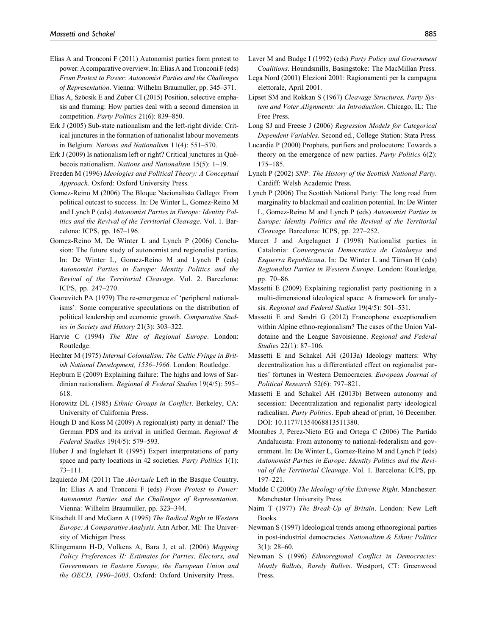Elias A and Tronconi F (2011) Autonomist parties form protest to power: A comparative overview. In: Elias A and Tronconi F (eds) From Protest to Power: Autonomist Parties and the Challenges of Representation. Vienna: Wilhelm Braumuller, pp. 345–371.

Elias A, Szöcsik E and Zuber CI (2015) Position, selective emphasis and framing: How parties deal with a second dimension in competition. Party Politics 21(6): 839–850.

Erk J (2005) Sub-state nationalism and the left-right divide: Critical junctures in the formation of nationalist labour movements in Belgium. Nations and Nationalism 11(4): 551–570.

Erk J (2009) Is nationalism left or right? Critical junctures in Québecois nationalism. Nations and Nationalism 15(5): 1–19.

Freeden M (1996) Ideologies and Political Theory: A Conceptual Approach. Oxford: Oxford University Press.

Gomez-Reino M (2006) The Bloque Nacionalista Gallego: From political outcast to success. In: De Winter L, Gomez-Reino M and Lynch P (eds) Autonomist Parties in Europe: Identity Politics and the Revival of the Territorial Cleavage. Vol. 1. Barcelona: ICPS, pp. 167–196.

Gomez-Reino M, De Winter L and Lynch P (2006) Conclusion: The future study of autonomist and regionalist parties. In: De Winter L, Gomez-Reino M and Lynch P (eds) Autonomist Parties in Europe: Identity Politics and the Revival of the Territorial Cleavage. Vol. 2. Barcelona: ICPS, pp. 247–270.

Gourevitch PA (1979) The re-emergence of 'peripheral nationalisms': Some comparative speculations on the distribution of political leadership and economic growth. Comparative Studies in Society and History 21(3): 303–322.

Harvie C (1994) The Rise of Regional Europe. London: Routledge.

Hechter M (1975) Internal Colonialism: The Celtic Fringe in British National Development, 1536–1966. London: Routledge.

Hepburn E (2009) Explaining failure: The highs and lows of Sardinian nationalism. Regional & Federal Studies 19(4/5): 595– 618.

Horowitz DL (1985) Ethnic Groups in Conflict. Berkeley, CA: University of California Press.

Hough D and Koss M (2009) A regional(ist) party in denial? The German PDS and its arrival in unified German. Regional & Federal Studies 19(4/5): 579–593.

Huber J and Inglehart R (1995) Expert interpretations of party space and party locations in 42 societies. Party Politics 1(1): 73–111.

Izquierdo JM (2011) The Abertzale Left in the Basque Country. In: Elias A and Tronconi F (eds) From Protest to Power: Autonomist Parties and the Challenges of Representation. Vienna: Wilhelm Braumuller, pp. 323–344.

Kitschelt H and McGann A (1995) The Radical Right in Western Europe: A Comparative Analysis. Ann Arbor, MI: The University of Michigan Press.

Klingemann H-D, Volkens A, Bara J, et al. (2006) Mapping Policy Preferences II: Estimates for Parties, Electors, and Governments in Eastern Europe, the European Union and the OECD, 1990–2003. Oxford: Oxford University Press.

Laver M and Budge I (1992) (eds) Party Policy and Government Coalitions. Houndsmills, Basingstoke: The MacMillan Press.

Lega Nord (2001) Elezioni 2001: Ragionamenti per la campagna elettorale, April 2001.

Lipset SM and Rokkan S (1967) Cleavage Structures, Party System and Voter Alignments: An Introduction. Chicago, IL: The Free Press.

Long SJ and Freese J (2006) Regression Models for Categorical Dependent Variables. Second ed., College Station: Stata Press.

Lucardie P (2000) Prophets, purifiers and prolocutors: Towards a theory on the emergence of new parties. Party Politics 6(2): 175–185.

Lynch P (2002) SNP: The History of the Scottish National Party. Cardiff: Welsh Academic Press.

Lynch P (2006) The Scottish National Party: The long road from marginality to blackmail and coalition potential. In: De Winter L, Gomez-Reino M and Lynch P (eds) Autonomist Parties in Europe: Identity Politics and the Revival of the Territorial Cleavage. Barcelona: ICPS, pp. 227–252.

Marcet J and Argelaguet J (1998) Nationalist parties in Catalonia: Convergencia Democratica de Catalunya and Esquerra Republicana. In: De Winter L and Türsan H (eds) Regionalist Parties in Western Europe. London: Routledge, pp. 70–86.

Massetti E (2009) Explaining regionalist party positioning in a multi-dimensional ideological space: A framework for analysis. Regional and Federal Studies 19(4/5): 501–531.

Massetti E and Sandri G (2012) Francophone exceptionalism within Alpine ethno-regionalism? The cases of the Union Valdotaine and the League Savoisienne. Regional and Federal Studies 22(1): 87–106.

Massetti E and Schakel AH (2013a) Ideology matters: Why decentralization has a differentiated effect on regionalist parties' fortunes in Western Democracies. European Journal of Political Research 52(6): 797–821.

Massetti E and Schakel AH (2013b) Between autonomy and secession: Decentralization and regionalist party ideological radicalism. Party Politics. Epub ahead of print, 16 December. DOI: 10.1177/1354068813511380.

Montabes J, Perez-Nieto EG and Ortega C (2006) The Partido Andalucista: From autonomy to national-federalism and government. In: De Winter L, Gomez-Reino M and Lynch P (eds) Autonomist Parties in Europe: Identity Politics and the Revival of the Territorial Cleavage. Vol. 1. Barcelona: ICPS, pp. 197–221.

Mudde C (2000) The Ideology of the Extreme Right. Manchester: Manchester University Press.

Nairn T (1977) The Break-Up of Britain. London: New Left Books.

Newman S (1997) Ideological trends among ethnoregional parties in post-industrial democracies. Nationalism & Ethnic Politics  $3(1)$ : 28–60.

Newman S (1996) Ethnoregional Conflict in Democracies: Mostly Ballots, Rarely Bullets. Westport, CT: Greenwood Press.